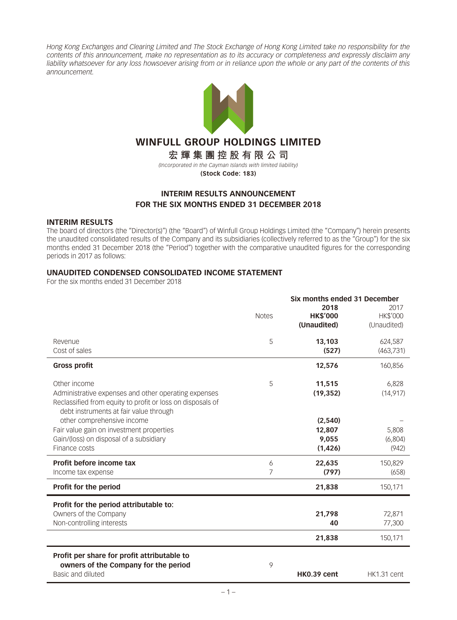*Hong Kong Exchanges and Clearing Limited and The Stock Exchange of Hong Kong Limited take no responsibility for the contents of this announcement, make no representation as to its accuracy or completeness and expressly disclaim any liability whatsoever for any loss howsoever arising from or in reliance upon the whole or any part of the contents of this announcement.*



# **WINFULL GROUP HOLDINGS LIMITED**

**宏輝集團控股有限公司** *(Incorporated in the Cayman Islands with limited liability)* **(Stock Code: 183)**

## **INTERIM RESULTS ANNOUNCEMENT FOR THE SIX MONTHS ENDED 31 DECEMBER 2018**

#### **INTERIM RESULTS**

The board of directors (the "Director(s)") (the "Board") of Winfull Group Holdings Limited (the "Company") herein presents the unaudited consolidated results of the Company and its subsidiaries (collectively referred to as the "Group") for the six months ended 31 December 2018 (the "Period") together with the comparative unaudited figures for the corresponding periods in 2017 as follows:

#### **UNAUDITED CONDENSED CONSOLIDATED INCOME STATEMENT**

|                                                                      | Six months ended 31 December |                 |             |  |
|----------------------------------------------------------------------|------------------------------|-----------------|-------------|--|
|                                                                      |                              | 2018            | 2017        |  |
|                                                                      | <b>Notes</b>                 | <b>HK\$'000</b> | HK\$'000    |  |
|                                                                      |                              | (Unaudited)     | (Unaudited) |  |
| Revenue                                                              | 5                            | 13,103          | 624,587     |  |
| Cost of sales                                                        |                              | (527)           | (463,731)   |  |
| <b>Gross profit</b>                                                  |                              | 12,576          | 160,856     |  |
| Other income                                                         | 5                            | 11,515          | 6,828       |  |
| Administrative expenses and other operating expenses                 |                              | (19, 352)       | (14, 917)   |  |
| Reclassified from equity to profit or loss on disposals of           |                              |                 |             |  |
| debt instruments at fair value through<br>other comprehensive income |                              | (2,540)         |             |  |
|                                                                      |                              |                 |             |  |
| Fair value gain on investment properties                             |                              | 12,807          | 5,808       |  |
| Gain/(loss) on disposal of a subsidiary                              |                              | 9,055           | (6,804)     |  |
| Finance costs                                                        |                              | (1,426)         | (942)       |  |
| Profit before income tax                                             | 6                            | 22,635          | 150,829     |  |
| Income tax expense                                                   | 7                            | (797)           | (658)       |  |
| Profit for the period                                                |                              | 21,838          | 150,171     |  |
| Profit for the period attributable to:                               |                              |                 |             |  |
| Owners of the Company                                                |                              | 21,798          | 72,871      |  |
| Non-controlling interests                                            |                              | 40              | 77,300      |  |
|                                                                      |                              |                 |             |  |
|                                                                      |                              | 21,838          | 150,171     |  |
| Profit per share for profit attributable to                          |                              |                 |             |  |
| owners of the Company for the period                                 | 9                            |                 |             |  |
| Basic and diluted                                                    |                              | HK0.39 cent     | HK1.31 cent |  |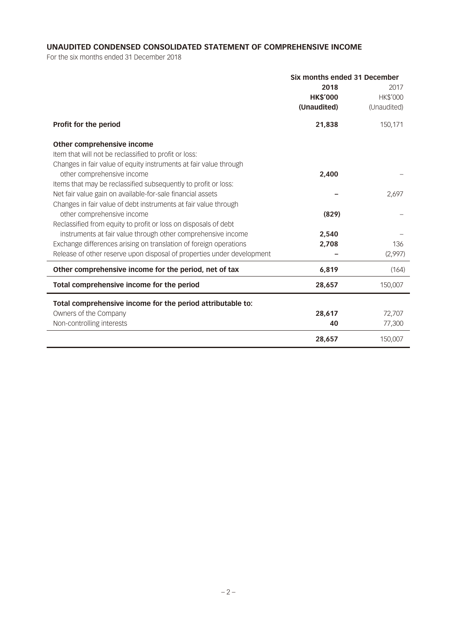## **UNAUDITED CONDENSED CONSOLIDATED STATEMENT OF COMPREHENSIVE INCOME**

|                                                                        | Six months ended 31 December |                 |  |
|------------------------------------------------------------------------|------------------------------|-----------------|--|
|                                                                        | 2018                         | 2017            |  |
|                                                                        | <b>HK\$'000</b>              | <b>HK\$'000</b> |  |
|                                                                        | (Unaudited)                  | (Unaudited)     |  |
| <b>Profit for the period</b>                                           | 21,838                       | 150,171         |  |
| Other comprehensive income                                             |                              |                 |  |
| Item that will not be reclassified to profit or loss:                  |                              |                 |  |
| Changes in fair value of equity instruments at fair value through      |                              |                 |  |
| other comprehensive income                                             | 2,400                        |                 |  |
| Items that may be reclassified subsequently to profit or loss:         |                              |                 |  |
| Net fair value gain on available-for-sale financial assets             |                              | 2,697           |  |
| Changes in fair value of debt instruments at fair value through        |                              |                 |  |
| other comprehensive income                                             | (829)                        |                 |  |
| Reclassified from equity to profit or loss on disposals of debt        |                              |                 |  |
| instruments at fair value through other comprehensive income           | 2,540                        |                 |  |
| Exchange differences arising on translation of foreign operations      | 2,708                        | 136             |  |
| Release of other reserve upon disposal of properties under development |                              | (2,997)         |  |
| Other comprehensive income for the period, net of tax                  | 6,819                        | (164)           |  |
| Total comprehensive income for the period                              | 28,657                       | 150,007         |  |
| Total comprehensive income for the period attributable to:             |                              |                 |  |
| Owners of the Company                                                  | 28,617                       | 72,707          |  |
| Non-controlling interests                                              | 40                           | 77,300          |  |
|                                                                        | 28,657                       | 150,007         |  |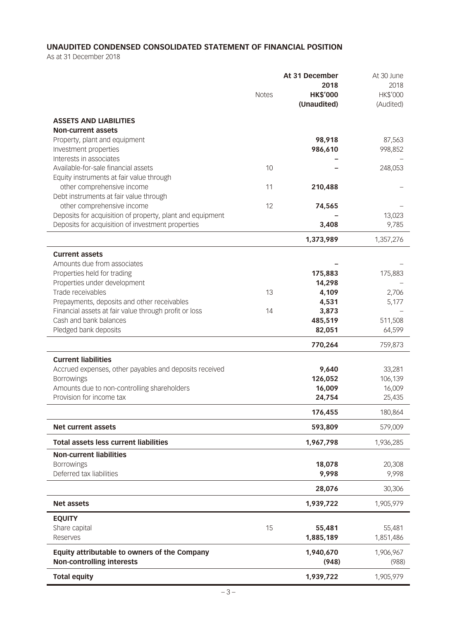## **UNAUDITED CONDENSED CONSOLIDATED STATEMENT OF FINANCIAL POSITION**

As at 31 December 2018

|                                                                                                      | <b>Notes</b> | At 31 December<br>2018<br><b>HK\$'000</b><br>(Unaudited) | At 30 June<br>2018<br>HK\$'000<br>(Audited) |
|------------------------------------------------------------------------------------------------------|--------------|----------------------------------------------------------|---------------------------------------------|
| <b>ASSETS AND LIABILITIES</b>                                                                        |              |                                                          |                                             |
| <b>Non-current assets</b>                                                                            |              |                                                          |                                             |
| Property, plant and equipment                                                                        |              | 98,918                                                   | 87,563                                      |
| Investment properties                                                                                |              | 986,610                                                  | 998,852                                     |
| Interests in associates<br>Available-for-sale financial assets                                       | 10           |                                                          | 248,053                                     |
| Equity instruments at fair value through                                                             |              |                                                          |                                             |
| other comprehensive income                                                                           | 11           | 210,488                                                  |                                             |
| Debt instruments at fair value through                                                               |              |                                                          |                                             |
| other comprehensive income                                                                           | 12           | 74,565                                                   |                                             |
| Deposits for acquisition of property, plant and equipment                                            |              |                                                          | 13,023                                      |
| Deposits for acquisition of investment properties                                                    |              | 3,408                                                    | 9,785                                       |
|                                                                                                      |              | 1,373,989                                                | 1,357,276                                   |
| <b>Current assets</b>                                                                                |              |                                                          |                                             |
| Amounts due from associates                                                                          |              |                                                          |                                             |
| Properties held for trading                                                                          |              | 175,883                                                  | 175,883                                     |
| Properties under development                                                                         |              | 14,298                                                   |                                             |
| Trade receivables                                                                                    | 13           | 4,109                                                    | 2,706                                       |
| Prepayments, deposits and other receivables<br>Financial assets at fair value through profit or loss | 14           | 4,531<br>3,873                                           | 5,177                                       |
| Cash and bank balances                                                                               |              | 485,519                                                  | 511,508                                     |
| Pledged bank deposits                                                                                |              | 82,051                                                   | 64,599                                      |
|                                                                                                      |              | 770,264                                                  | 759,873                                     |
|                                                                                                      |              |                                                          |                                             |
| <b>Current liabilities</b><br>Accrued expenses, other payables and deposits received                 |              | 9,640                                                    | 33,281                                      |
| <b>Borrowings</b>                                                                                    |              | 126,052                                                  | 106,139                                     |
| Amounts due to non-controlling shareholders                                                          |              | 16,009                                                   | 16,009                                      |
| Provision for income tax                                                                             |              | 24,754                                                   | 25,435                                      |
|                                                                                                      |              | 176,455                                                  | 180,864                                     |
| <b>Net current assets</b>                                                                            |              | 593,809                                                  | 579,009                                     |
| <b>Total assets less current liabilities</b>                                                         |              | 1,967,798                                                | 1,936,285                                   |
| <b>Non-current liabilities</b>                                                                       |              |                                                          |                                             |
| <b>Borrowings</b>                                                                                    |              | 18,078                                                   | 20,308                                      |
| Deferred tax liabilities                                                                             |              | 9,998                                                    | 9,998                                       |
|                                                                                                      |              | 28,076                                                   | 30,306                                      |
| <b>Net assets</b>                                                                                    |              | 1,939,722                                                | 1,905,979                                   |
| <b>EQUITY</b>                                                                                        |              |                                                          |                                             |
| Share capital                                                                                        | 15           | 55,481                                                   | 55,481                                      |
| Reserves                                                                                             |              | 1,885,189                                                | 1,851,486                                   |
| Equity attributable to owners of the Company                                                         |              | 1,940,670                                                | 1,906,967                                   |
| <b>Non-controlling interests</b>                                                                     |              | (948)                                                    | (988)                                       |
| <b>Total equity</b>                                                                                  |              | 1,939,722                                                | 1,905,979                                   |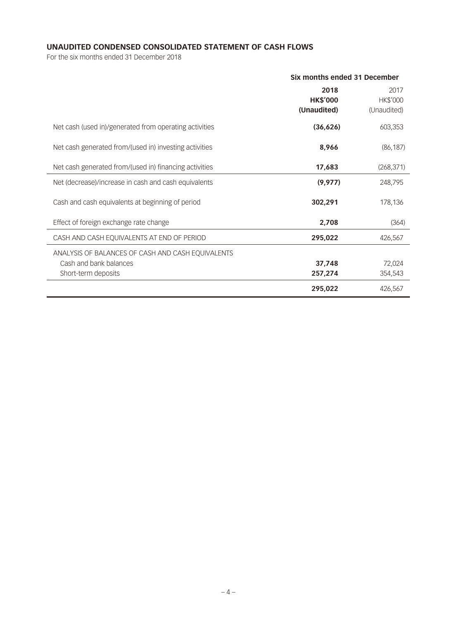## **UNAUDITED CONDENSED CONSOLIDATED STATEMENT OF CASH FLOWS**

|                                                        | Six months ended 31 December           |                                 |  |
|--------------------------------------------------------|----------------------------------------|---------------------------------|--|
|                                                        | 2018<br><b>HK\$'000</b><br>(Unaudited) | 2017<br>HK\$'000<br>(Unaudited) |  |
| Net cash (used in)/generated from operating activities | (36, 626)                              | 603,353                         |  |
| Net cash generated from/(used in) investing activities | 8,966                                  | (86, 187)                       |  |
| Net cash generated from/(used in) financing activities | 17,683                                 | (268, 371)                      |  |
| Net (decrease)/increase in cash and cash equivalents   | (9, 977)                               | 248,795                         |  |
| Cash and cash equivalents at beginning of period       | 302,291                                | 178,136                         |  |
| Effect of foreign exchange rate change                 | 2,708                                  | (364)                           |  |
| CASH AND CASH EQUIVALENTS AT END OF PERIOD             | 295,022                                | 426,567                         |  |
| ANALYSIS OF BALANCES OF CASH AND CASH EQUIVALENTS      |                                        |                                 |  |
| Cash and bank balances                                 | 37,748                                 | 72,024                          |  |
| Short-term deposits                                    | 257,274                                | 354,543                         |  |
|                                                        | 295,022                                | 426,567                         |  |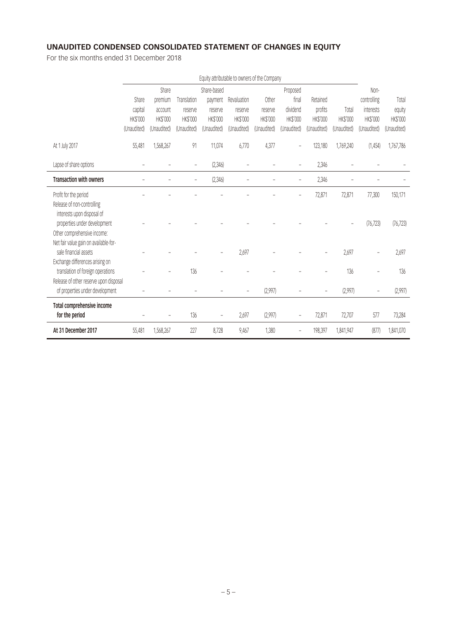# **UNAUDITED CONDENSED CONSOLIDATED STATEMENT OF CHANGES IN EQUITY**

| Equity attributable to owners of the Company                                                  |             |             |                 |                   |             |             |                          |                 |             |                |                 |
|-----------------------------------------------------------------------------------------------|-------------|-------------|-----------------|-------------------|-------------|-------------|--------------------------|-----------------|-------------|----------------|-----------------|
|                                                                                               |             | Share       |                 | Share-based       |             |             | Proposed                 |                 |             | Non-           |                 |
|                                                                                               | Share       | premium     | Translation     | payment           | Revaluation | Other       | final                    | Retained        |             | controlling    | Total           |
|                                                                                               | capital     | account     | reserve         | reserve           | reserve     | reserve     | dividend                 | profits         | Total       | interests      | equity          |
|                                                                                               | HK\$'000    | HK\$'000    | <b>HK\$'000</b> | HK\$'000          | HK\$'000    | HK\$'000    | <b>HK\$'000</b>          | <b>HK\$'000</b> | HK\$'000    | HK\$'000       | <b>HK\$'000</b> |
|                                                                                               | (Unaudited) | (Unaudited) | (Unaudited)     | (Unaudited)       | (Unaudited) | (Unaudited) | (Unaudited)              | (Unaudited)     | (Unaudited) | (Unaudited)    | (Unaudited)     |
| At 1 July 2017                                                                                | 55,481      | 1,568,267   | 91              | 11,074            | 6,770       | 4,377       |                          | 123,180         | 1,769,240   | (1,454)        | 1,767,786       |
| Lapse of share options                                                                        |             |             | $\overline{a}$  | (2,346)           |             |             |                          | 2,346           |             |                |                 |
| <b>Transaction with owners</b>                                                                |             |             |                 | (2,346)           |             |             |                          | 2,346           |             |                |                 |
| Profit for the period                                                                         |             |             |                 |                   |             |             |                          | 72,871          | 72,871      | 77,300         | 150,171         |
| Release of non-controlling<br>interests upon disposal of<br>properties under development      |             |             |                 |                   |             |             |                          |                 |             | (76, 723)      | (76, 723)       |
| Other comprehensive income:<br>Net fair value gain on available-for-<br>sale financial assets |             |             |                 |                   |             |             |                          |                 |             |                |                 |
| Exchange differences arising on                                                               |             |             |                 |                   | 2.697       |             |                          |                 | 2,697       |                | 2,697           |
| translation of foreign operations                                                             |             |             | 136             |                   |             |             |                          |                 | 136         |                | 136             |
| Release of other reserve upon disposal                                                        |             |             |                 |                   |             |             |                          |                 |             |                |                 |
| of properties under development                                                               |             |             |                 |                   |             | (2,997)     |                          |                 | (2,997)     | $\overline{a}$ | (2,997)         |
| Total comprehensive income                                                                    |             |             |                 |                   |             |             |                          |                 |             |                |                 |
| for the period                                                                                |             |             | 136             | $\qquad \qquad -$ | 2,697       | (2,997)     | $\overline{\phantom{a}}$ | 72,871          | 72,707      | 577            | 73,284          |
| At 31 December 2017                                                                           | 55,481      | 1,568,267   | 227             | 8,728             | 9,467       | 1,380       |                          | 198,397         | 1,841,947   | (877)          | 1,841,070       |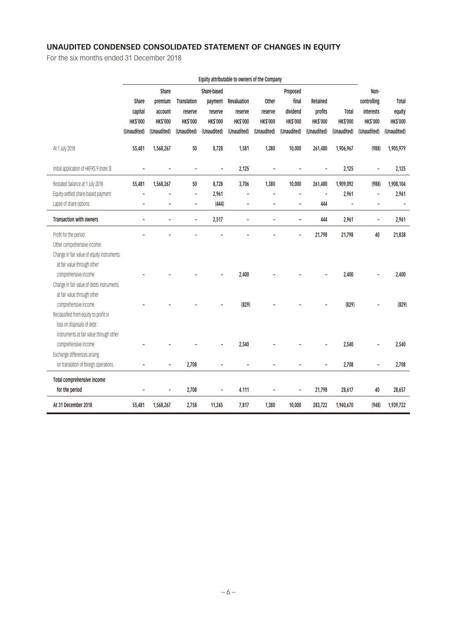# **UNAUDITED CONDENSED CONSOLIDATED STATEMENT OF CHANGES IN EQUITY**

| Equity attributable to owners of the Company |                 |                 |                          |                 |                 |                 |                          |                 |                 |                          |                 |
|----------------------------------------------|-----------------|-----------------|--------------------------|-----------------|-----------------|-----------------|--------------------------|-----------------|-----------------|--------------------------|-----------------|
|                                              |                 | Share           |                          | Share-based     |                 |                 | Proposed                 |                 |                 | Non-                     |                 |
|                                              | Share           | premium         | <b>Translation</b>       | payment         | Revaluation     | Other           | final                    | Retained        |                 | controlling              | Total           |
|                                              | capital         | account         | reserve                  | reserve         | reserve         | reserve         | dividend                 | profits         | Total           | interests                | equity          |
|                                              | <b>HK\$'000</b> | <b>HK\$'000</b> | <b>HK\$'000</b>          | <b>HK\$'000</b> | <b>HK\$'000</b> | <b>HK\$'000</b> | <b>HK\$'000</b>          | <b>HK\$'000</b> | <b>HK\$'000</b> | <b>HK\$'000</b>          | <b>HK\$'000</b> |
|                                              | (Unaudited)     | (Unaudited)     | (Unaudited)              | (Unaudited)     | (Unaudited)     | (Unaudited)     | (Unaudited)              | (Unaudited)     | (Unaudited)     | (Unaudited)              | (Unaudited)     |
|                                              |                 |                 |                          |                 |                 |                 |                          |                 |                 |                          |                 |
| At 1 July 2018                               | 55,481          | 1,568,267       | 50                       | 8,728           | 1,581           | 1,380           | 10,000                   | 261,480         | 1,906,967       | (988)                    | 1,905,979       |
| Initial application of HKFRS 9 (note 3)      |                 |                 | ٠                        | ÷               | 2,125           |                 |                          |                 | 2,125           | ÷                        | 2,125           |
| Restated balance at 1 July 2018              | 55,481          | 1,568,267       | 50                       | 8,728           | 3,706           | 1,380           | 10,000                   | 261,480         | 1,909,092       | (988)                    | 1,908,104       |
| Equity-settled share-based payment           |                 |                 | $\overline{a}$           | 2,961           |                 |                 | $\overline{a}$           | ÷               | 2,961           | $\overline{\phantom{0}}$ | 2,961           |
| Lapse of share options                       | $\overline{a}$  | L,              | $\overline{\phantom{a}}$ | (444)           | Ĭ.              | L,              | $\overline{\phantom{0}}$ | 444             | Ĭ.              | ÷,                       |                 |
| <b>Transaction with owners</b>               |                 |                 | L.                       | 2,517           |                 |                 | $\overline{a}$           | 444             | 2,961           | ÷                        | 2,961           |
|                                              |                 |                 |                          |                 |                 |                 |                          |                 |                 |                          |                 |
| Profit for the period                        |                 |                 |                          |                 |                 |                 | $\overline{\phantom{m}}$ | 21,798          | 21,798          | 40                       | 21,838          |
| Other comprehensive income:                  |                 |                 |                          |                 |                 |                 |                          |                 |                 |                          |                 |
| Change in fair value of equity instruments   |                 |                 |                          |                 |                 |                 |                          |                 |                 |                          |                 |
| at fair value through other                  |                 |                 |                          |                 |                 |                 |                          |                 |                 |                          |                 |
| comprehensive income                         |                 |                 |                          |                 | 2,400           |                 |                          |                 | 2,400           |                          | 2,400           |
| Change in fair value of debts instruments    |                 |                 |                          |                 |                 |                 |                          |                 |                 |                          |                 |
| at fair value through other                  |                 |                 |                          |                 |                 |                 |                          |                 |                 |                          |                 |
| comprehensive income                         |                 |                 |                          |                 | (829)           |                 |                          |                 | (829)           |                          | (829)           |
| Reclassified from equity to profit or        |                 |                 |                          |                 |                 |                 |                          |                 |                 |                          |                 |
| loss on disposals of debt                    |                 |                 |                          |                 |                 |                 |                          |                 |                 |                          |                 |
| instruments at fair value through other      |                 |                 |                          |                 |                 |                 |                          |                 |                 |                          |                 |
| comprehensive income                         |                 |                 |                          |                 | 2,540           |                 |                          |                 | 2,540           |                          | 2,540           |
| Exchange differences arising                 |                 |                 |                          |                 |                 |                 |                          |                 |                 |                          |                 |
| on translation of foreign operations         |                 | $\overline{a}$  | 2,708                    |                 | $\overline{a}$  |                 |                          | ÷,              | 2,708           | $\overline{\phantom{m}}$ | 2,708           |
| Total comprehensive income                   |                 |                 |                          |                 |                 |                 |                          |                 |                 |                          |                 |
| for the period                               |                 |                 | 2,708                    |                 | 4.111           |                 | $\overline{a}$           | 21,798          | 28,617          | 40                       | 28,657          |
| At 31 December 2018                          | 55,481          | 1,568,267       | 2,758                    | 11,245          | 7,817           | 1,380           | 10,000                   | 283,722         | 1,940,670       | (948)                    | 1,939,722       |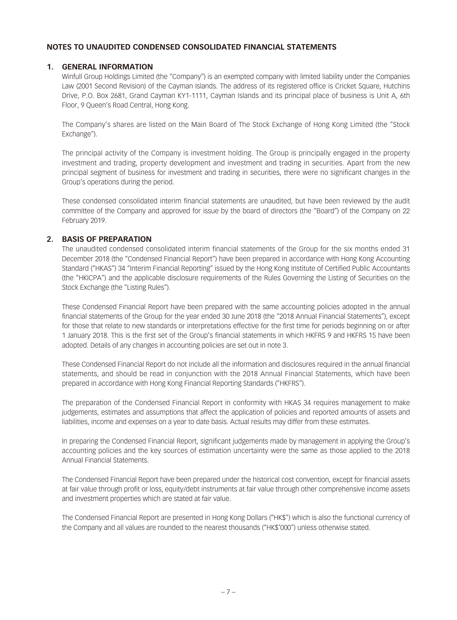### **NOTES TO UNAUDITED CONDENSED CONSOLIDATED FINANCIAL STATEMENTS**

### **1. GENERAL INFORMATION**

Winfull Group Holdings Limited (the "Company") is an exempted company with limited liability under the Companies Law (2001 Second Revision) of the Cayman Islands. The address of its registered office is Cricket Square, Hutchins Drive, P.O. Box 2681, Grand Cayman KY1-1111, Cayman Islands and its principal place of business is Unit A, 6th Floor, 9 Queen's Road Central, Hong Kong.

The Company's shares are listed on the Main Board of The Stock Exchange of Hong Kong Limited (the "Stock Exchange").

The principal activity of the Company is investment holding. The Group is principally engaged in the property investment and trading, property development and investment and trading in securities. Apart from the new principal segment of business for investment and trading in securities, there were no significant changes in the Group's operations during the period.

These condensed consolidated interim financial statements are unaudited, but have been reviewed by the audit committee of the Company and approved for issue by the board of directors (the "Board") of the Company on 22 February 2019.

### **2. BASIS OF PREPARATION**

The unaudited condensed consolidated interim financial statements of the Group for the six months ended 31 December 2018 (the "Condensed Financial Report") have been prepared in accordance with Hong Kong Accounting Standard ("HKAS") 34 "Interim Financial Reporting" issued by the Hong Kong Institute of Certified Public Accountants (the "HKICPA") and the applicable disclosure requirements of the Rules Governing the Listing of Securities on the Stock Exchange (the "Listing Rules").

These Condensed Financial Report have been prepared with the same accounting policies adopted in the annual financial statements of the Group for the year ended 30 June 2018 (the "2018 Annual Financial Statements"), except for those that relate to new standards or interpretations effective for the first time for periods beginning on or after 1 January 2018. This is the first set of the Group's financial statements in which HKFRS 9 and HKFRS 15 have been adopted. Details of any changes in accounting policies are set out in note 3.

These Condensed Financial Report do not include all the information and disclosures required in the annual financial statements, and should be read in conjunction with the 2018 Annual Financial Statements, which have been prepared in accordance with Hong Kong Financial Reporting Standards ("HKFRS").

The preparation of the Condensed Financial Report in conformity with HKAS 34 requires management to make judgements, estimates and assumptions that affect the application of policies and reported amounts of assets and liabilities, income and expenses on a year to date basis. Actual results may differ from these estimates.

In preparing the Condensed Financial Report, significant judgements made by management in applying the Group's accounting policies and the key sources of estimation uncertainty were the same as those applied to the 2018 Annual Financial Statements.

The Condensed Financial Report have been prepared under the historical cost convention, except for financial assets at fair value through profit or loss, equity/debt instruments at fair value through other comprehensive income assets and investment properties which are stated at fair value.

The Condensed Financial Report are presented in Hong Kong Dollars ("HK\$") which is also the functional currency of the Company and all values are rounded to the nearest thousands ("HK\$'000") unless otherwise stated.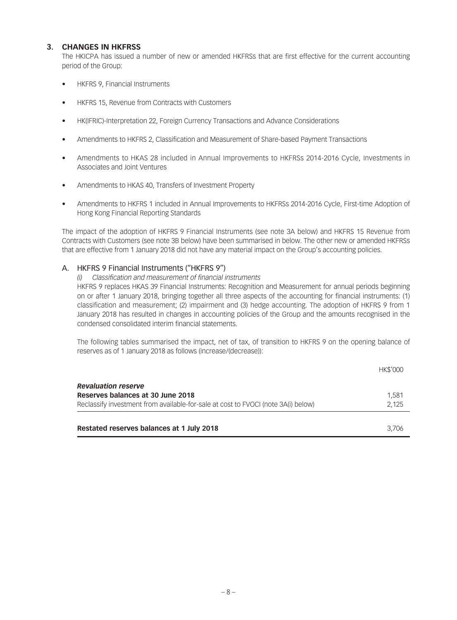### **3. CHANGES IN HKFRSS**

The HKICPA has issued a number of new or amended HKFRSs that are first effective for the current accounting period of the Group:

- HKFRS 9, Financial Instruments
- HKFRS 15, Revenue from Contracts with Customers
- HK(IFRIC)-Interpretation 22, Foreign Currency Transactions and Advance Considerations
- Amendments to HKFRS 2, Classification and Measurement of Share-based Payment Transactions
- Amendments to HKAS 28 included in Annual Improvements to HKFRSs 2014-2016 Cycle, Investments in Associates and Joint Ventures
- Amendments to HKAS 40, Transfers of Investment Property
- Amendments to HKFRS 1 included in Annual Improvements to HKFRSs 2014-2016 Cycle, First-time Adoption of Hong Kong Financial Reporting Standards

The impact of the adoption of HKFRS 9 Financial Instruments (see note 3A below) and HKFRS 15 Revenue from Contracts with Customers (see note 3B below) have been summarised in below. The other new or amended HKFRSs that are effective from 1 January 2018 did not have any material impact on the Group's accounting policies.

### A. HKFRS 9 Financial Instruments ("HKFRS 9")

#### *(i) Classification and measurement of financial instruments*

HKFRS 9 replaces HKAS 39 Financial Instruments: Recognition and Measurement for annual periods beginning on or after 1 January 2018, bringing together all three aspects of the accounting for financial instruments: (1) classification and measurement; (2) impairment and (3) hedge accounting. The adoption of HKFRS 9 from 1 January 2018 has resulted in changes in accounting policies of the Group and the amounts recognised in the condensed consolidated interim financial statements.

The following tables summarised the impact, net of tax, of transition to HKFRS 9 on the opening balance of reserves as of 1 January 2018 as follows (increase/(decrease)):

| Restated reserves balances at 1 July 2018                                         | 3.706           |
|-----------------------------------------------------------------------------------|-----------------|
| Reclassify investment from available-for-sale at cost to FVOCI (note 3A(i) below) | 2.125           |
| <b>Revaluation reserve</b><br>Reserves balances at 30 June 2018                   | 1.581           |
|                                                                                   | <b>HK\$'000</b> |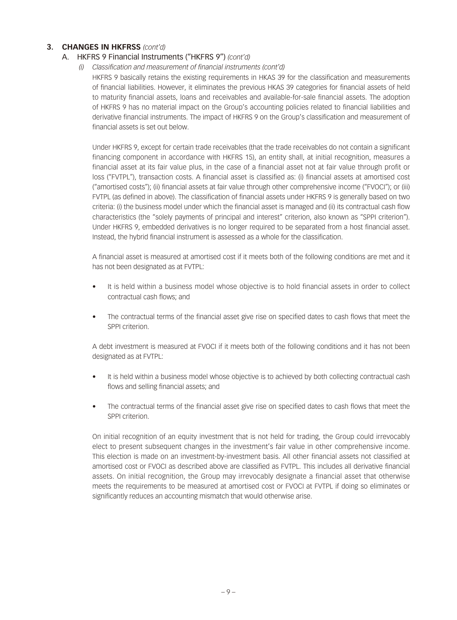### A. HKFRS 9 Financial Instruments ("HKFRS 9") *(cont'd)*

 *(i) Classification and measurement of financial instruments (cont'd)*

HKFRS 9 basically retains the existing requirements in HKAS 39 for the classification and measurements of financial liabilities. However, it eliminates the previous HKAS 39 categories for financial assets of held to maturity financial assets, loans and receivables and available-for-sale financial assets. The adoption of HKFRS 9 has no material impact on the Group's accounting policies related to financial liabilities and derivative financial instruments. The impact of HKFRS 9 on the Group's classification and measurement of financial assets is set out below.

Under HKFRS 9, except for certain trade receivables (that the trade receivables do not contain a significant financing component in accordance with HKFRS 15), an entity shall, at initial recognition, measures a financial asset at its fair value plus, in the case of a financial asset not at fair value through profit or loss ("FVTPL"), transaction costs. A financial asset is classified as: (i) financial assets at amortised cost ("amortised costs"); (ii) financial assets at fair value through other comprehensive income ("FVOCI"); or (iii) FVTPL (as defined in above). The classification of financial assets under HKFRS 9 is generally based on two criteria: (i) the business model under which the financial asset is managed and (ii) its contractual cash flow characteristics (the "solely payments of principal and interest" criterion, also known as "SPPI criterion"). Under HKFRS 9, embedded derivatives is no longer required to be separated from a host financial asset. Instead, the hybrid financial instrument is assessed as a whole for the classification.

A financial asset is measured at amortised cost if it meets both of the following conditions are met and it has not been designated as at FVTPL:

- It is held within a business model whose objective is to hold financial assets in order to collect contractual cash flows; and
- The contractual terms of the financial asset give rise on specified dates to cash flows that meet the SPPI criterion.

A debt investment is measured at FVOCI if it meets both of the following conditions and it has not been designated as at FVTPL:

- It is held within a business model whose objective is to achieved by both collecting contractual cash flows and selling financial assets; and
- The contractual terms of the financial asset give rise on specified dates to cash flows that meet the SPPI criterion.

On initial recognition of an equity investment that is not held for trading, the Group could irrevocably elect to present subsequent changes in the investment's fair value in other comprehensive income. This election is made on an investment-by-investment basis. All other financial assets not classified at amortised cost or FVOCI as described above are classified as FVTPL. This includes all derivative financial assets. On initial recognition, the Group may irrevocably designate a financial asset that otherwise meets the requirements to be measured at amortised cost or FVOCI at FVTPL if doing so eliminates or significantly reduces an accounting mismatch that would otherwise arise.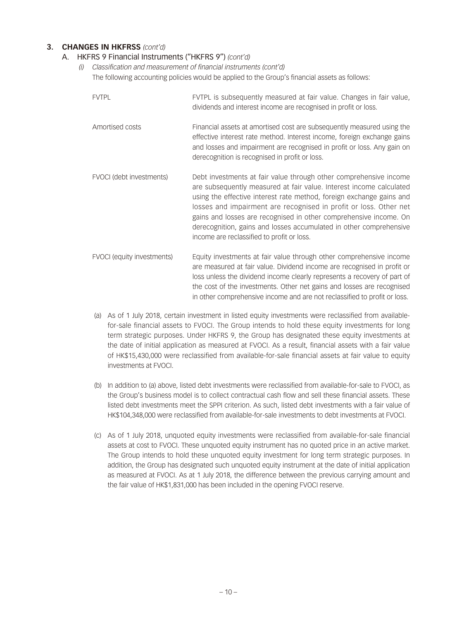### A. HKFRS 9 Financial Instruments ("HKFRS 9") *(cont'd)*

- *(i) Classification and measurement of financial instruments (cont'd)* The following accounting policies would be applied to the Group's financial assets as follows:
	- FVTPL FVTPL is subsequently measured at fair value. Changes in fair value, dividends and interest income are recognised in profit or loss. Amortised costs Financial assets at amortised cost are subsequently measured using the effective interest rate method. Interest income, foreign exchange gains and losses and impairment are recognised in profit or loss. Any gain on derecognition is recognised in profit or loss. FVOCI (debt investments) Debt investments at fair value through other comprehensive income are subsequently measured at fair value. Interest income calculated using the effective interest rate method, foreign exchange gains and
		- losses and impairment are recognised in profit or loss. Other net gains and losses are recognised in other comprehensive income. On derecognition, gains and losses accumulated in other comprehensive income are reclassified to profit or loss.
	- FVOCI (equity investments) Equity investments at fair value through other comprehensive income are measured at fair value. Dividend income are recognised in profit or loss unless the dividend income clearly represents a recovery of part of the cost of the investments. Other net gains and losses are recognised in other comprehensive income and are not reclassified to profit or loss.
	- (a) As of 1 July 2018, certain investment in listed equity investments were reclassified from availablefor-sale financial assets to FVOCI. The Group intends to hold these equity investments for long term strategic purposes. Under HKFRS 9, the Group has designated these equity investments at the date of initial application as measured at FVOCI. As a result, financial assets with a fair value of HK\$15,430,000 were reclassified from available-for-sale financial assets at fair value to equity investments at FVOCI.
	- (b) In addition to (a) above, listed debt investments were reclassified from available-for-sale to FVOCI, as the Group's business model is to collect contractual cash flow and sell these financial assets. These listed debt investments meet the SPPI criterion. As such, listed debt investments with a fair value of HK\$104,348,000 were reclassified from available-for-sale investments to debt investments at FVOCI.
	- (c) As of 1 July 2018, unquoted equity investments were reclassified from available-for-sale financial assets at cost to FVOCI. These unquoted equity instrument has no quoted price in an active market. The Group intends to hold these unquoted equity investment for long term strategic purposes. In addition, the Group has designated such unquoted equity instrument at the date of initial application as measured at FVOCI. As at 1 July 2018, the difference between the previous carrying amount and the fair value of HK\$1,831,000 has been included in the opening FVOCI reserve.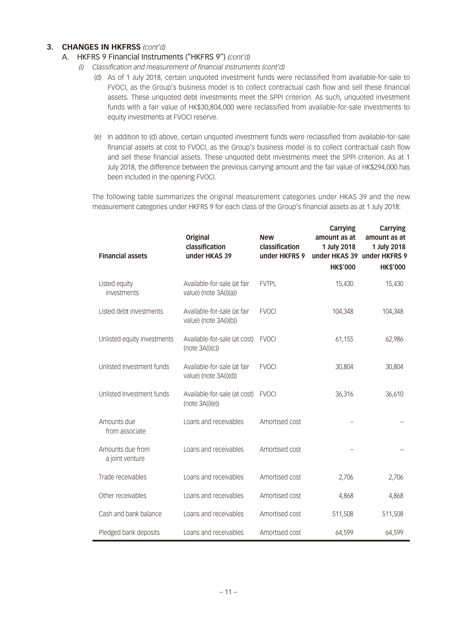### A. HKFRS 9 Financial Instruments ("HKFRS 9") *(cont'd)*

- *(i) Classification and measurement of financial instruments (cont'd)*
	- (d) As of 1 July 2018, certain unquoted investment funds were reclassified from available-for-sale to FVOCI, as the Group's business model is to collect contractual cash flow and sell these financial assets. These unquoted debt investments meet the SPPI criterion. As such, unquoted investment funds with a fair value of HK\$30,804,000 were reclassified from available-for-sale investments to equity investments at FVOCI reserve.
	- (e) In addition to (d) above, certain unquoted investment funds were reclassified from available-for-sale financial assets at cost to FVOCI, as the Group's business model is to collect contractual cash flow and sell these financial assets. These unquoted debt investments meet the SPPI criterion. As at 1 July 2018, the difference between the previous carrying amount and the fair value of HK\$294,000 has been included in the opening FVOCI.

The following table summarizes the original measurement categories under HKAS 39 and the new measurement categories under HKFRS 9 for each class of the Group's financial assets as at 1 July 2018:

| <b>Financial assets</b>             | <b>Original</b><br>classification<br>under HKAS 39    | <b>New</b><br>classification<br>under HKFRS 9 | <b>Carrying</b><br>amount as at<br>1 July 2018<br>under HKAS 39<br><b>HK\$'000</b> | <b>Carrying</b><br>amount as at<br>1 July 2018<br>under HKFRS 9<br><b>HK\$'000</b> |
|-------------------------------------|-------------------------------------------------------|-----------------------------------------------|------------------------------------------------------------------------------------|------------------------------------------------------------------------------------|
| Listed equity<br>investments        | Available-for-sale (at fair<br>value) (note 3A(i)(a)) | <b>FVTPL</b>                                  | 15,430                                                                             | 15,430                                                                             |
| Listed debt investments             | Available-for-sale (at fair<br>value) (note 3A(i)(b)) | <b>FVOCI</b>                                  | 104,348                                                                            | 104,348                                                                            |
| Unlisted equity investments         | Available-for-sale (at cost)<br>(note 3A(i)(c))       | <b>FVOCI</b>                                  | 61,155                                                                             | 62,986                                                                             |
| Unlisted Investment funds           | Available-for-sale (at fair<br>value) (note 3A(i)(d)) | <b>FVOCI</b>                                  | 30,804                                                                             | 30,804                                                                             |
| Unlisted Investment funds           | Available-for-sale (at cost)<br>(note 3A(i)(e))       | <b>FVOCI</b>                                  | 36,316                                                                             | 36,610                                                                             |
| Amounts due<br>from associate       | Loans and receivables                                 | Amortised cost                                |                                                                                    |                                                                                    |
| Amounts due from<br>a joint venture | Loans and receivables                                 | Amortised cost                                |                                                                                    |                                                                                    |
| Trade receivables                   | Loans and receivables                                 | Amortised cost                                | 2,706                                                                              | 2,706                                                                              |
| Other receivables                   | Loans and receivables                                 | Amortised cost                                | 4,868                                                                              | 4,868                                                                              |
| Cash and bank balance               | Loans and receivables                                 | Amortised cost                                | 511,508                                                                            | 511,508                                                                            |
| Pledged bank deposits               | Loans and receivables                                 | Amortised cost                                | 64,599                                                                             | 64,599                                                                             |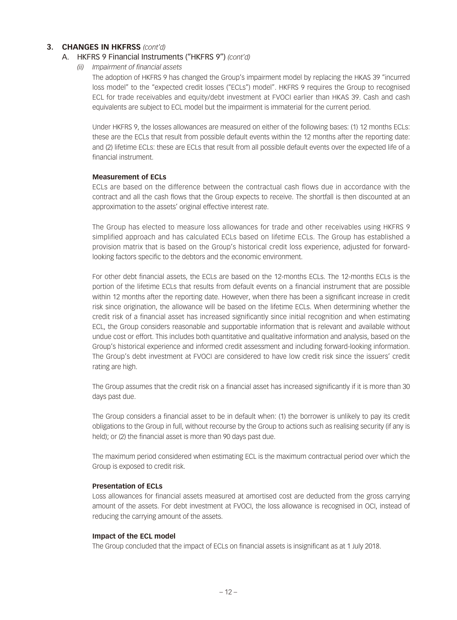#### A. HKFRS 9 Financial Instruments ("HKFRS 9") *(cont'd)*

*(ii) Impairment of financial assets*

The adoption of HKFRS 9 has changed the Group's impairment model by replacing the HKAS 39 "incurred loss model" to the "expected credit losses ("ECLs") model". HKFRS 9 requires the Group to recognised ECL for trade receivables and equity/debt investment at FVOCI earlier than HKAS 39. Cash and cash equivalents are subject to ECL model but the impairment is immaterial for the current period.

Under HKFRS 9, the losses allowances are measured on either of the following bases: (1) 12 months ECLs: these are the ECLs that result from possible default events within the 12 months after the reporting date: and (2) lifetime ECLs: these are ECLs that result from all possible default events over the expected life of a financial instrument.

#### **Measurement of ECLs**

ECLs are based on the difference between the contractual cash flows due in accordance with the contract and all the cash flows that the Group expects to receive. The shortfall is then discounted at an approximation to the assets' original effective interest rate.

The Group has elected to measure loss allowances for trade and other receivables using HKFRS 9 simplified approach and has calculated ECLs based on lifetime ECLs. The Group has established a provision matrix that is based on the Group's historical credit loss experience, adjusted for forwardlooking factors specific to the debtors and the economic environment.

For other debt financial assets, the ECLs are based on the 12-months ECLs. The 12-months ECLs is the portion of the lifetime ECLs that results from default events on a financial instrument that are possible within 12 months after the reporting date. However, when there has been a significant increase in credit risk since origination, the allowance will be based on the lifetime ECLs. When determining whether the credit risk of a financial asset has increased significantly since initial recognition and when estimating ECL, the Group considers reasonable and supportable information that is relevant and available without undue cost or effort. This includes both quantitative and qualitative information and analysis, based on the Group's historical experience and informed credit assessment and including forward-looking information. The Group's debt investment at FVOCI are considered to have low credit risk since the issuers' credit rating are high.

The Group assumes that the credit risk on a financial asset has increased significantly if it is more than 30 days past due.

The Group considers a financial asset to be in default when: (1) the borrower is unlikely to pay its credit obligations to the Group in full, without recourse by the Group to actions such as realising security (if any is held); or (2) the financial asset is more than 90 days past due.

The maximum period considered when estimating ECL is the maximum contractual period over which the Group is exposed to credit risk.

#### **Presentation of ECLs**

Loss allowances for financial assets measured at amortised cost are deducted from the gross carrying amount of the assets. For debt investment at FVOCI, the loss allowance is recognised in OCI, instead of reducing the carrying amount of the assets.

#### **Impact of the ECL model**

The Group concluded that the impact of ECLs on financial assets is insignificant as at 1 July 2018.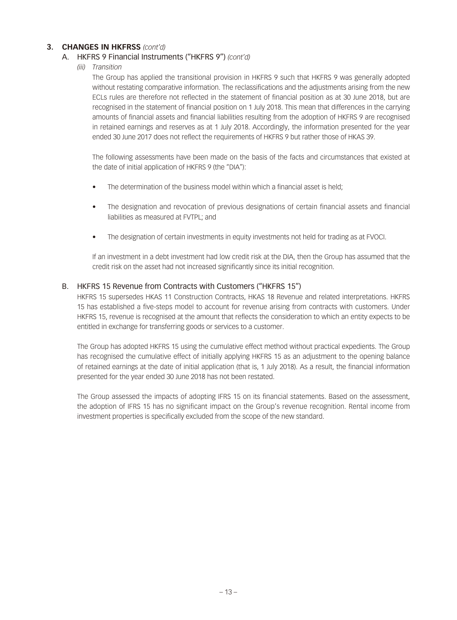### A. HKFRS 9 Financial Instruments ("HKFRS 9") *(cont'd)*

*(iii) Transition*

The Group has applied the transitional provision in HKFRS 9 such that HKFRS 9 was generally adopted without restating comparative information. The reclassifications and the adjustments arising from the new ECLs rules are therefore not reflected in the statement of financial position as at 30 June 2018, but are recognised in the statement of financial position on 1 July 2018. This mean that differences in the carrying amounts of financial assets and financial liabilities resulting from the adoption of HKFRS 9 are recognised in retained earnings and reserves as at 1 July 2018. Accordingly, the information presented for the year ended 30 June 2017 does not reflect the requirements of HKFRS 9 but rather those of HKAS 39.

The following assessments have been made on the basis of the facts and circumstances that existed at the date of initial application of HKFRS 9 (the "DIA"):

- The determination of the business model within which a financial asset is held;
- The designation and revocation of previous designations of certain financial assets and financial liabilities as measured at FVTPL; and
- The designation of certain investments in equity investments not held for trading as at FVOCI.

If an investment in a debt investment had low credit risk at the DIA, then the Group has assumed that the credit risk on the asset had not increased significantly since its initial recognition.

### B. HKFRS 15 Revenue from Contracts with Customers ("HKFRS 15")

HKFRS 15 supersedes HKAS 11 Construction Contracts, HKAS 18 Revenue and related interpretations. HKFRS 15 has established a five-steps model to account for revenue arising from contracts with customers. Under HKFRS 15, revenue is recognised at the amount that reflects the consideration to which an entity expects to be entitled in exchange for transferring goods or services to a customer.

The Group has adopted HKFRS 15 using the cumulative effect method without practical expedients. The Group has recognised the cumulative effect of initially applying HKFRS 15 as an adjustment to the opening balance of retained earnings at the date of initial application (that is, 1 July 2018). As a result, the financial information presented for the year ended 30 June 2018 has not been restated.

The Group assessed the impacts of adopting IFRS 15 on its financial statements. Based on the assessment, the adoption of IFRS 15 has no significant impact on the Group's revenue recognition. Rental income from investment properties is specifically excluded from the scope of the new standard.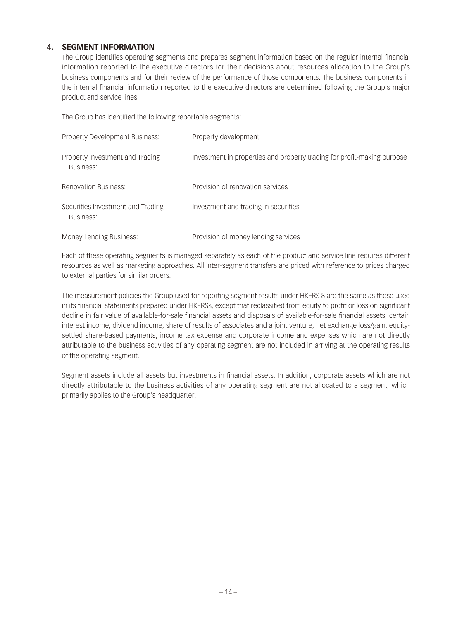### **4. SEGMENT INFORMATION**

The Group identifies operating segments and prepares segment information based on the regular internal financial information reported to the executive directors for their decisions about resources allocation to the Group's business components and for their review of the performance of those components. The business components in the internal financial information reported to the executive directors are determined following the Group's major product and service lines.

The Group has identified the following reportable segments:

| Property Development Business:                 | Property development                                                    |
|------------------------------------------------|-------------------------------------------------------------------------|
| Property Investment and Trading<br>Business:   | Investment in properties and property trading for profit-making purpose |
| <b>Renovation Business:</b>                    | Provision of renovation services                                        |
| Securities Investment and Trading<br>Business: | Investment and trading in securities                                    |
| Money Lending Business:                        | Provision of money lending services                                     |

Each of these operating segments is managed separately as each of the product and service line requires different resources as well as marketing approaches. All inter-segment transfers are priced with reference to prices charged to external parties for similar orders.

The measurement policies the Group used for reporting segment results under HKFRS 8 are the same as those used in its financial statements prepared under HKFRSs, except that reclassified from equity to profit or loss on significant decline in fair value of available-for-sale financial assets and disposals of available-for-sale financial assets, certain interest income, dividend income, share of results of associates and a joint venture, net exchange loss/gain, equitysettled share-based payments, income tax expense and corporate income and expenses which are not directly attributable to the business activities of any operating segment are not included in arriving at the operating results of the operating segment.

Segment assets include all assets but investments in financial assets. In addition, corporate assets which are not directly attributable to the business activities of any operating segment are not allocated to a segment, which primarily applies to the Group's headquarter.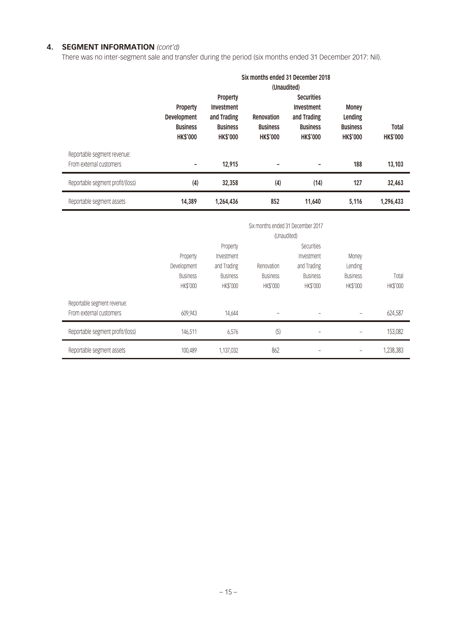### **4. SEGMENT INFORMATION** *(cont'd)*

There was no inter-segment sale and transfer during the period (six months ended 31 December 2017: Nil).

|                                  |                 |                 |                 | Six months ended 31 December 2018 |                 |                 |  |  |  |  |
|----------------------------------|-----------------|-----------------|-----------------|-----------------------------------|-----------------|-----------------|--|--|--|--|
|                                  |                 | (Unaudited)     |                 |                                   |                 |                 |  |  |  |  |
|                                  |                 | Property        |                 | <b>Securities</b>                 |                 |                 |  |  |  |  |
|                                  | Property        | Investment      |                 | Investment                        | <b>Money</b>    |                 |  |  |  |  |
|                                  | Development     | and Trading     | Renovation      | and Trading                       | Lending         |                 |  |  |  |  |
|                                  | <b>Business</b> | <b>Business</b> | <b>Business</b> | <b>Business</b>                   | <b>Business</b> | <b>Total</b>    |  |  |  |  |
|                                  | <b>HK\$'000</b> | <b>HK\$'000</b> | <b>HK\$'000</b> | <b>HK\$'000</b>                   | <b>HK\$'000</b> | <b>HK\$'000</b> |  |  |  |  |
| Reportable segment revenue:      |                 |                 |                 |                                   |                 |                 |  |  |  |  |
| From external customers          |                 | 12,915          |                 |                                   | 188             | 13,103          |  |  |  |  |
| Reportable segment profit/(loss) | (4)             | 32,358          | (4)             | (14)                              | 127             | 32,463          |  |  |  |  |
| Reportable segment assets        | 14,389          | 1,264,436       | 852             | 11,640                            | 5,116           | 1,296,433       |  |  |  |  |
|                                  |                 |                 |                 | Six months ended 31 December 2017 |                 |                 |  |  |  |  |
|                                  |                 |                 |                 | (Unaudited)                       |                 |                 |  |  |  |  |
|                                  |                 | Property        |                 | Securities                        |                 |                 |  |  |  |  |
|                                  | Property        | Investment      |                 | Investment                        | Money           |                 |  |  |  |  |
|                                  | Development     | and Trading     | Renovation      | and Trading                       | Lending         |                 |  |  |  |  |
|                                  | <b>Business</b> | <b>Business</b> | <b>Business</b> | <b>Business</b>                   | <b>Business</b> | Total           |  |  |  |  |
|                                  | <b>HK\$'000</b> | HK\$'000        | HK\$'000        | HK\$'000                          | HK\$'000        | HK\$'000        |  |  |  |  |
| Reportable segment revenue:      |                 |                 |                 |                                   |                 |                 |  |  |  |  |
| From external customers          | 609,943         | 14,644          |                 |                                   |                 | 624,587         |  |  |  |  |

Reportable segment profit/(loss) 146,511 6,576 (5) – – 153,082

Reportable segment assets 100,489 1,137,032 862 - Preportable segment assets 1,238,383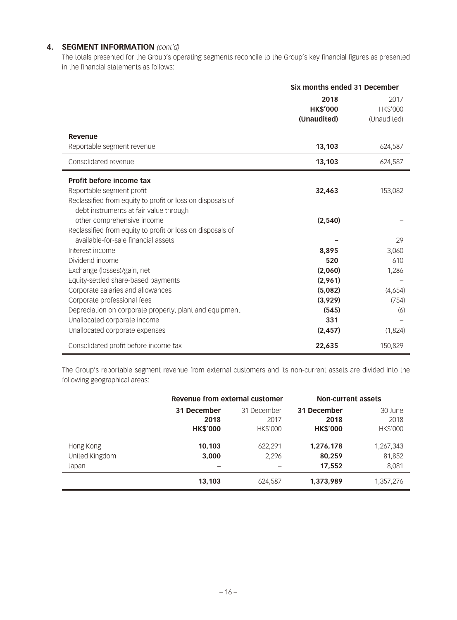### **4. SEGMENT INFORMATION** *(cont'd)*

The totals presented for the Group's operating segments reconcile to the Group's key financial figures as presented in the financial statements as follows:

|                                                            | Six months ended 31 December |             |  |
|------------------------------------------------------------|------------------------------|-------------|--|
|                                                            | 2018                         | 2017        |  |
|                                                            | <b>HK\$'000</b>              | HK\$'000    |  |
|                                                            | (Unaudited)                  | (Unaudited) |  |
| Revenue                                                    |                              |             |  |
| Reportable segment revenue                                 | 13,103                       | 624,587     |  |
| Consolidated revenue                                       | 13,103                       | 624,587     |  |
| Profit before income tax                                   |                              |             |  |
| Reportable segment profit                                  | 32,463                       | 153,082     |  |
| Reclassified from equity to profit or loss on disposals of |                              |             |  |
| debt instruments at fair value through                     |                              |             |  |
| other comprehensive income                                 | (2,540)                      |             |  |
| Reclassified from equity to profit or loss on disposals of |                              |             |  |
| available-for-sale financial assets                        |                              | 29          |  |
| Interest income                                            | 8,895                        | 3,060       |  |
| Dividend income                                            | 520                          | 610         |  |
| Exchange (losses)/gain, net                                | (2,060)                      | 1,286       |  |
| Equity-settled share-based payments                        | (2,961)                      |             |  |
| Corporate salaries and allowances                          | (5,082)                      | (4,654)     |  |
| Corporate professional fees                                | (3,929)                      | (754)       |  |
| Depreciation on corporate property, plant and equipment    | (545)                        | (6)         |  |
| Unallocated corporate income                               | 331                          |             |  |
| Unallocated corporate expenses                             | (2, 457)                     | (1,824)     |  |
| Consolidated profit before income tax                      | 22,635                       | 150,829     |  |

The Group's reportable segment revenue from external customers and its non-current assets are divided into the following geographical areas:

|                | Revenue from external customer |                 | <b>Non-current assets</b> |                 |
|----------------|--------------------------------|-----------------|---------------------------|-----------------|
|                | 31 December                    | 31 December     |                           | 30 June         |
|                | 2018                           | 2017            | 2018                      | 2018            |
|                | <b>HK\$'000</b>                | <b>HK\$'000</b> | <b>HK\$'000</b>           | <b>HK\$'000</b> |
| Hong Kong      | 10,103                         | 622,291         | 1,276,178                 | 1,267,343       |
| United Kingdom | 3,000                          | 2.296           | 80,259                    | 81,852          |
| Japan          | $\overline{\phantom{0}}$       |                 | 17,552                    | 8,081           |
|                | 13,103                         | 624,587         | 1,373,989                 | 1,357,276       |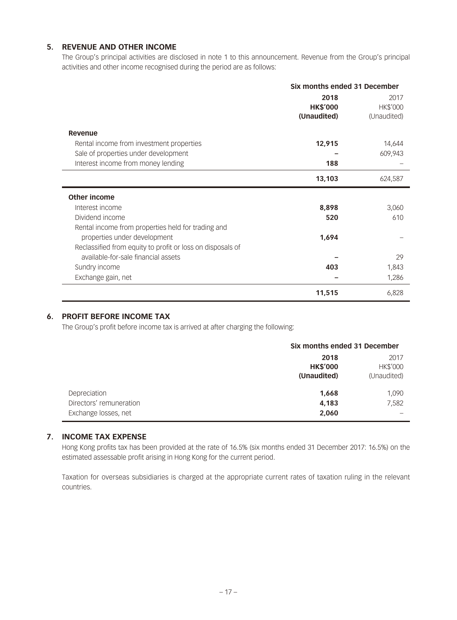### **5. REVENUE AND OTHER INCOME**

The Group's principal activities are disclosed in note 1 to this announcement. Revenue from the Group's principal activities and other income recognised during the period are as follows:

|                                                            | Six months ended 31 December |                 |
|------------------------------------------------------------|------------------------------|-----------------|
|                                                            | 2018                         | 2017            |
|                                                            | <b>HK\$'000</b>              | <b>HK\$'000</b> |
|                                                            | (Unaudited)                  | (Unaudited)     |
| Revenue                                                    |                              |                 |
| Rental income from investment properties                   | 12,915                       | 14,644          |
| Sale of properties under development                       |                              | 609,943         |
| Interest income from money lending                         | 188                          |                 |
|                                                            | 13,103                       | 624,587         |
| <b>Other income</b>                                        |                              |                 |
| Interest income                                            | 8,898                        | 3,060           |
| Dividend income                                            | 520                          | 610             |
| Rental income from properties held for trading and         |                              |                 |
| properties under development                               | 1,694                        |                 |
| Reclassified from equity to profit or loss on disposals of |                              |                 |
| available-for-sale financial assets                        |                              | 29              |
| Sundry income                                              | 403                          | 1,843           |
| Exchange gain, net                                         |                              | 1,286           |
|                                                            | 11,515                       | 6,828           |

### **6. PROFIT BEFORE INCOME TAX**

The Group's profit before income tax is arrived at after charging the following:

|                                                                 | Six months ended 31 December           |                                        |
|-----------------------------------------------------------------|----------------------------------------|----------------------------------------|
|                                                                 | 2018<br><b>HK\$'000</b><br>(Unaudited) | 2017<br><b>HK\$'000</b><br>(Unaudited) |
| Depreciation<br>Directors' remuneration<br>Exchange losses, net | 1,668<br>4,183<br>2,060                | 1,090<br>7,582                         |

### **7. INCOME TAX EXPENSE**

Hong Kong profits tax has been provided at the rate of 16.5% (six months ended 31 December 2017: 16.5%) on the estimated assessable profit arising in Hong Kong for the current period.

Taxation for overseas subsidiaries is charged at the appropriate current rates of taxation ruling in the relevant countries.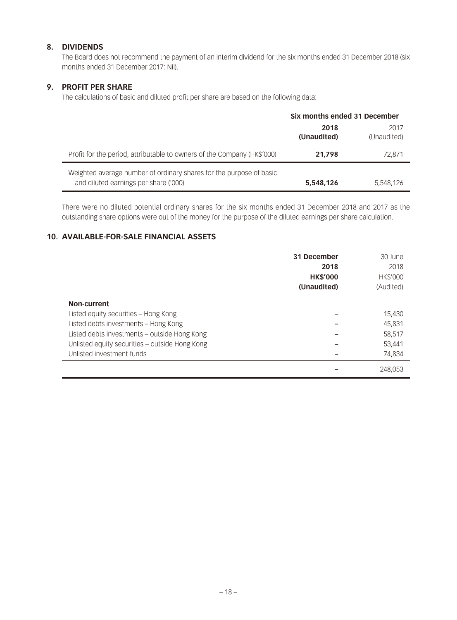### **8. DIVIDENDS**

The Board does not recommend the payment of an interim dividend for the six months ended 31 December 2018 (six months ended 31 December 2017: Nil).

### **9. PROFIT PER SHARE**

The calculations of basic and diluted profit per share are based on the following data:

|                                                                                                              | Six months ended 31 December |                     |
|--------------------------------------------------------------------------------------------------------------|------------------------------|---------------------|
|                                                                                                              | 2018<br>(Unaudited)          | 2017<br>(Unaudited) |
| Profit for the period, attributable to owners of the Company (HK\$'000)                                      | 21.798                       | 72.871              |
| Weighted average number of ordinary shares for the purpose of basic<br>and diluted earnings per share ('000) | 5,548,126                    | 5,548,126           |

There were no diluted potential ordinary shares for the six months ended 31 December 2018 and 2017 as the outstanding share options were out of the money for the purpose of the diluted earnings per share calculation.

### **10. AVAILABLE-FOR-SALE FINANCIAL ASSETS**

|                                                | 31 December<br>2018<br><b>HK\$'000</b> | 30 June<br>2018<br><b>HK\$'000</b> |
|------------------------------------------------|----------------------------------------|------------------------------------|
|                                                | (Unaudited)                            | (Audited)                          |
| Non-current                                    |                                        |                                    |
| Listed equity securities - Hong Kong           |                                        | 15,430                             |
| Listed debts investments - Hong Kong           |                                        | 45,831                             |
| Listed debts investments - outside Hong Kong   |                                        | 58,517                             |
| Unlisted equity securities - outside Hong Kong |                                        | 53,441                             |
| Unlisted investment funds                      |                                        | 74.834                             |
|                                                |                                        | 248.053                            |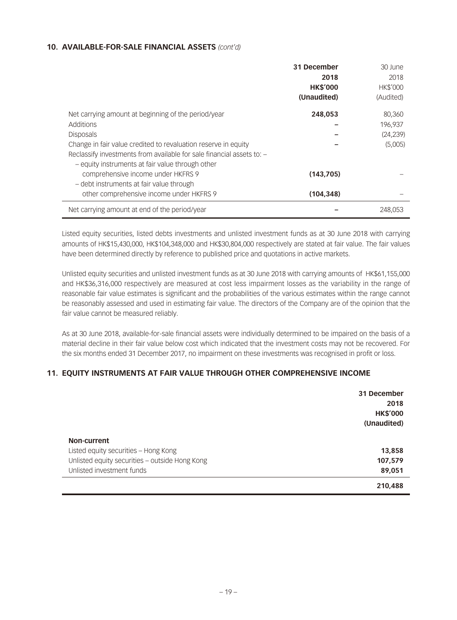### **10. AVAILABLE-FOR-SALE FINANCIAL ASSETS** *(cont'd)*

|                                                                                        | 31 December<br>2018<br><b>HK\$'000</b><br>(Unaudited) | 30 June<br>2018<br><b>HK\$'000</b><br>(Audited) |
|----------------------------------------------------------------------------------------|-------------------------------------------------------|-------------------------------------------------|
| Net carrying amount at beginning of the period/year                                    | 248,053                                               | 80,360                                          |
| Additions                                                                              |                                                       | 196,937                                         |
| <b>Disposals</b>                                                                       |                                                       | (24, 239)                                       |
| Change in fair value credited to revaluation reserve in equity                         |                                                       | (5,005)                                         |
| Reclassify investments from available for sale financial assets to: -                  |                                                       |                                                 |
| - equity instruments at fair value through other<br>comprehensive income under HKFRS 9 | (143,705)                                             |                                                 |
| - debt instruments at fair value through                                               |                                                       |                                                 |
| other comprehensive income under HKFRS 9                                               | (104, 348)                                            |                                                 |
| Net carrying amount at end of the period/year                                          |                                                       | 248.053                                         |

Listed equity securities, listed debts investments and unlisted investment funds as at 30 June 2018 with carrying amounts of HK\$15,430,000, HK\$104,348,000 and HK\$30,804,000 respectively are stated at fair value. The fair values have been determined directly by reference to published price and quotations in active markets.

Unlisted equity securities and unlisted investment funds as at 30 June 2018 with carrying amounts of HK\$61,155,000 and HK\$36,316,000 respectively are measured at cost less impairment losses as the variability in the range of reasonable fair value estimates is significant and the probabilities of the various estimates within the range cannot be reasonably assessed and used in estimating fair value. The directors of the Company are of the opinion that the fair value cannot be measured reliably.

As at 30 June 2018, available-for-sale financial assets were individually determined to be impaired on the basis of a material decline in their fair value below cost which indicated that the investment costs may not be recovered. For the six months ended 31 December 2017, no impairment on these investments was recognised in profit or loss.

### **11. EQUITY INSTRUMENTS AT FAIR VALUE THROUGH OTHER COMPREHENSIVE INCOME**

|                                                | 31 December<br>2018<br><b>HK\$'000</b><br>(Unaudited) |
|------------------------------------------------|-------------------------------------------------------|
| Non-current                                    |                                                       |
| Listed equity securities - Hong Kong           | 13,858                                                |
| Unlisted equity securities - outside Hong Kong | 107,579                                               |
| Unlisted investment funds                      | 89,051                                                |
|                                                | 210,488                                               |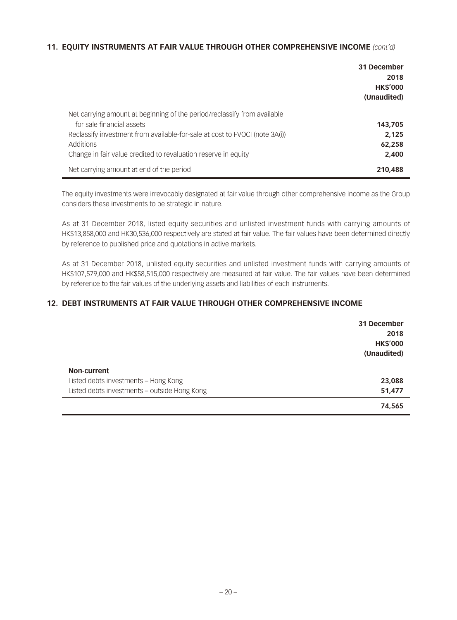### **11. EQUITY INSTRUMENTS AT FAIR VALUE THROUGH OTHER COMPREHENSIVE INCOME** *(cont'd)*

|                                                                             | 31 December<br>2018<br><b>HK\$'000</b><br>(Unaudited) |
|-----------------------------------------------------------------------------|-------------------------------------------------------|
| Net carrying amount at beginning of the period/reclassify from available    |                                                       |
| for sale financial assets                                                   | 143,705                                               |
| Reclassify investment from available-for-sale at cost to FVOCI (note 3A(i)) | 2.125                                                 |
| Additions                                                                   | 62,258                                                |
| Change in fair value credited to revaluation reserve in equity              | 2,400                                                 |
| Net carrying amount at end of the period                                    | 210,488                                               |

The equity investments were irrevocably designated at fair value through other comprehensive income as the Group considers these investments to be strategic in nature.

As at 31 December 2018, listed equity securities and unlisted investment funds with carrying amounts of HK\$13,858,000 and HK30,536,000 respectively are stated at fair value. The fair values have been determined directly by reference to published price and quotations in active markets.

As at 31 December 2018, unlisted equity securities and unlisted investment funds with carrying amounts of HK\$107,579,000 and HK\$58,515,000 respectively are measured at fair value. The fair values have been determined by reference to the fair values of the underlying assets and liabilities of each instruments.

### **12. DEBT INSTRUMENTS AT FAIR VALUE THROUGH OTHER COMPREHENSIVE INCOME**

|                                              | 31 December<br>2018<br><b>HK\$'000</b><br>(Unaudited) |
|----------------------------------------------|-------------------------------------------------------|
| Non-current                                  |                                                       |
| Listed debts investments - Hong Kong         | 23,088                                                |
| Listed debts investments - outside Hong Kong | 51,477                                                |
|                                              | 74,565                                                |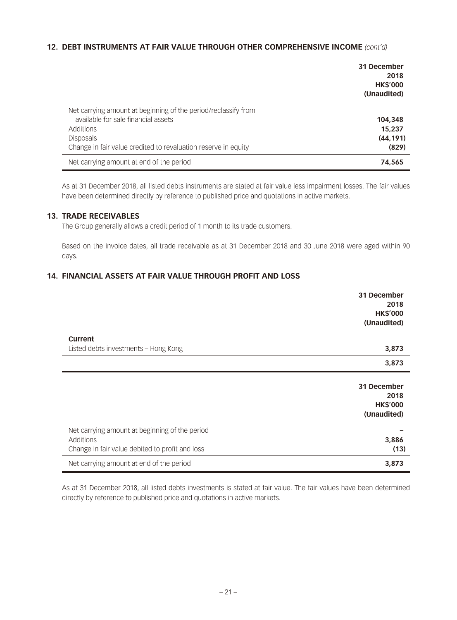### **12. DEBT INSTRUMENTS AT FAIR VALUE THROUGH OTHER COMPREHENSIVE INCOME** *(cont'd)*

|                                                                                                       | 31 December<br>2018<br><b>HK\$'000</b><br>(Unaudited) |
|-------------------------------------------------------------------------------------------------------|-------------------------------------------------------|
| Net carrying amount at beginning of the period/reclassify from<br>available for sale financial assets |                                                       |
| Additions                                                                                             | 104,348<br>15,237                                     |
| <b>Disposals</b>                                                                                      | (44, 191)                                             |
| Change in fair value credited to revaluation reserve in equity                                        | (829)                                                 |
| Net carrying amount at end of the period                                                              | 74,565                                                |

As at 31 December 2018, all listed debts instruments are stated at fair value less impairment losses. The fair values have been determined directly by reference to published price and quotations in active markets.

### **13. TRADE RECEIVABLES**

The Group generally allows a credit period of 1 month to its trade customers.

Based on the invoice dates, all trade receivable as at 31 December 2018 and 30 June 2018 were aged within 90 days.

### **14. FINANCIAL ASSETS AT FAIR VALUE THROUGH PROFIT AND LOSS**

|                                                 | 31 December<br>2018<br><b>HK\$'000</b> |
|-------------------------------------------------|----------------------------------------|
|                                                 | (Unaudited)                            |
| Current                                         |                                        |
| Listed debts investments – Hong Kong            | 3,873                                  |
|                                                 | 3,873                                  |
|                                                 |                                        |
|                                                 | 31 December<br>2018                    |
|                                                 | <b>HK\$'000</b>                        |
|                                                 | (Unaudited)                            |
| Net carrying amount at beginning of the period  |                                        |
| Additions                                       | 3,886                                  |
| Change in fair value debited to profit and loss | (13)                                   |
| Net carrying amount at end of the period        | 3,873                                  |

As at 31 December 2018, all listed debts investments is stated at fair value. The fair values have been determined directly by reference to published price and quotations in active markets.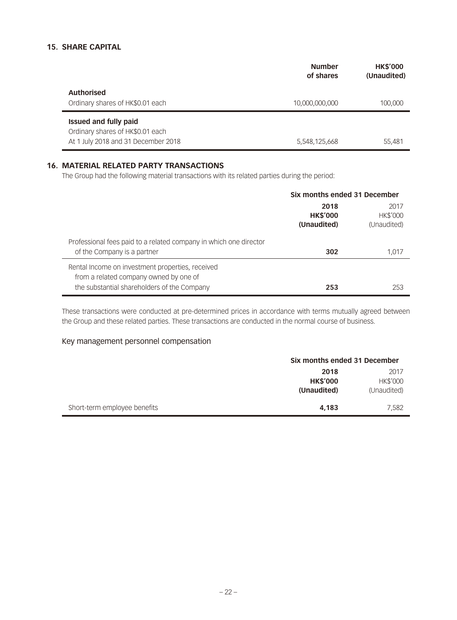### **15. SHARE CAPITAL**

|                                                                                                         | <b>Number</b><br>of shares | <b>HK\$'000</b><br>(Unaudited) |
|---------------------------------------------------------------------------------------------------------|----------------------------|--------------------------------|
| <b>Authorised</b><br>Ordinary shares of HK\$0.01 each                                                   | 10,000,000,000             | 100.000                        |
| <b>Issued and fully paid</b><br>Ordinary shares of HK\$0.01 each<br>At 1 July 2018 and 31 December 2018 | 5,548,125,668              | 55,481                         |

#### **16. MATERIAL RELATED PARTY TRANSACTIONS**

The Group had the following material transactions with its related parties during the period:

|                                                                                                                                           | Six months ended 31 December           |                                        |
|-------------------------------------------------------------------------------------------------------------------------------------------|----------------------------------------|----------------------------------------|
|                                                                                                                                           | 2018<br><b>HK\$'000</b><br>(Unaudited) | 2017<br><b>HK\$'000</b><br>(Unaudited) |
| Professional fees paid to a related company in which one director<br>of the Company is a partner                                          | 302                                    | 1.017                                  |
| Rental Income on investment properties, received<br>from a related company owned by one of<br>the substantial shareholders of the Company | 253                                    | 253                                    |

These transactions were conducted at pre-determined prices in accordance with terms mutually agreed between the Group and these related parties. These transactions are conducted in the normal course of business.

### Key management personnel compensation

|                              | Six months ended 31 December |             |  |
|------------------------------|------------------------------|-------------|--|
|                              | 2017<br>2018                 |             |  |
|                              | <b>HK\$'000</b><br>HK\$'000  |             |  |
|                              | (Unaudited)                  | (Unaudited) |  |
| Short-term employee benefits | 4.183                        | 7,582       |  |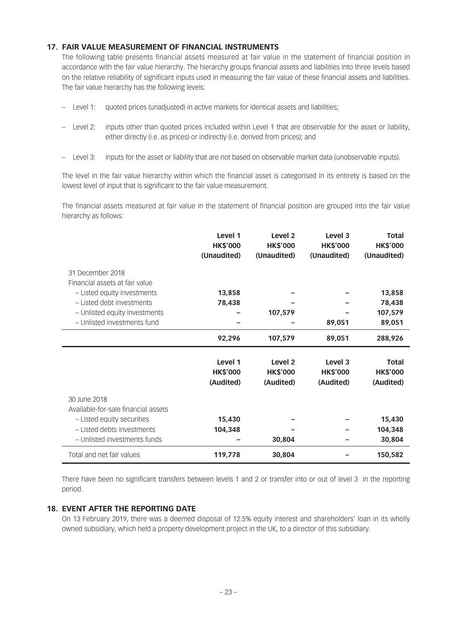### **17. FAIR VALUE MEASUREMENT OF FINANCIAL INSTRUMENTS**

The following table presents financial assets measured at fair value in the statement of financial position in accordance with the fair value hierarchy. The hierarchy groups financial assets and liabilities into three levels based on the relative reliability of significant inputs used in measuring the fair value of these financial assets and liabilities. The fair value hierarchy has the following levels:

- Level 1: quoted prices (unadjusted) in active markets for identical assets and liabilities;
- Level 2: inputs other than quoted prices included within Level 1 that are observable for the asset or liability, either directly (i.e. as prices) or indirectly (i.e. derived from prices); and
- Level 3: inputs for the asset or liability that are not based on observable market data (unobservable inputs).

The level in the fair value hierarchy within which the financial asset is categorised in its entirety is based on the lowest level of input that is significant to the fair value measurement.

The financial assets measured at fair value in the statement of financial position are grouped into the fair value hierarchy as follows:

|                                                    | Level 1<br><b>HK\$'000</b> | Level <sub>2</sub><br><b>HK\$'000</b> | Level <sub>3</sub><br><b>HK\$'000</b> | <b>Total</b><br><b>HK\$'000</b> |
|----------------------------------------------------|----------------------------|---------------------------------------|---------------------------------------|---------------------------------|
|                                                    | (Unaudited)                | (Unaudited)                           | (Unaudited)                           | (Unaudited)                     |
| 31 December 2018<br>Financial assets at fair value |                            |                                       |                                       |                                 |
| - Listed equity investments                        | 13,858                     |                                       |                                       | 13,858                          |
| - Listed debt investments                          | 78,438                     |                                       |                                       | 78,438                          |
| - Unlisted equity investments                      |                            | 107,579                               |                                       | 107,579                         |
| - Unlisted investments fund                        |                            |                                       | 89,051                                | 89,051                          |
|                                                    | 92,296                     | 107,579                               | 89,051                                | 288,926                         |
|                                                    |                            |                                       |                                       |                                 |
|                                                    |                            |                                       |                                       |                                 |
|                                                    | Level 1                    | Level <sub>2</sub>                    | Level 3                               | <b>Total</b>                    |
|                                                    | <b>HK\$'000</b>            | <b>HK\$'000</b>                       | <b>HK\$'000</b>                       | <b>HK\$'000</b>                 |
|                                                    | (Audited)                  | (Audited)                             | (Audited)                             | (Audited)                       |
| 30 June 2018                                       |                            |                                       |                                       |                                 |
| Available-for-sale financial assets                |                            |                                       |                                       |                                 |
| - Listed equity securities                         | 15,430                     |                                       |                                       | 15,430                          |
| - Listed debts investments                         | 104,348                    |                                       |                                       | 104,348                         |
| - Unlisted investments funds                       |                            | 30,804                                |                                       | 30,804                          |

There have been no significant transfers between levels 1 and 2 or transfer into or out of level 3 in the reporting period.

#### **18. EVENT AFTER THE REPORTING DATE**

On 13 February 2019, there was a deemed disposal of 12.5% equity interest and shareholders' loan in its wholly owned subsidiary, which held a property development project in the UK, to a director of this subsidiary.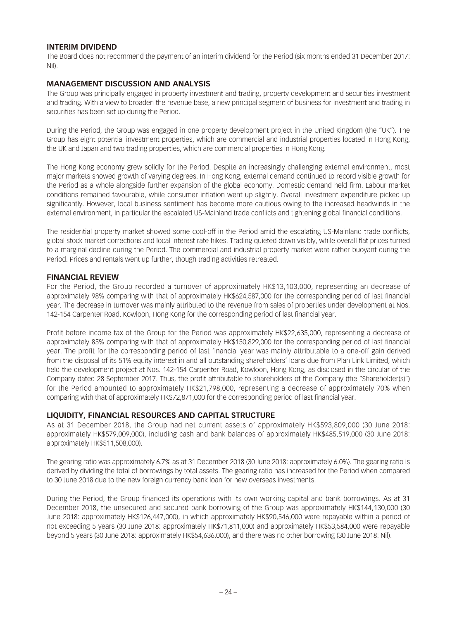#### **INTERIM DIVIDEND**

The Board does not recommend the payment of an interim dividend for the Period (six months ended 31 December 2017: Nil).

### **MANAGEMENT DISCUSSION AND ANALYSIS**

The Group was principally engaged in property investment and trading, property development and securities investment and trading. With a view to broaden the revenue base, a new principal segment of business for investment and trading in securities has been set up during the Period.

During the Period, the Group was engaged in one property development project in the United Kingdom (the "UK"). The Group has eight potential investment properties, which are commercial and industrial properties located in Hong Kong, the UK and Japan and two trading properties, which are commercial properties in Hong Kong.

The Hong Kong economy grew solidly for the Period. Despite an increasingly challenging external environment, most major markets showed growth of varying degrees. In Hong Kong, external demand continued to record visible growth for the Period as a whole alongside further expansion of the global economy. Domestic demand held firm. Labour market conditions remained favourable, while consumer inflation went up slightly. Overall investment expenditure picked up significantly. However, local business sentiment has become more cautious owing to the increased headwinds in the external environment, in particular the escalated US-Mainland trade conflicts and tightening global financial conditions.

The residential property market showed some cool-off in the Period amid the escalating US-Mainland trade conflicts, global stock market corrections and local interest rate hikes. Trading quieted down visibly, while overall flat prices turned to a marginal decline during the Period. The commercial and industrial property market were rather buoyant during the Period. Prices and rentals went up further, though trading activities retreated.

### **FINANCIAL REVIEW**

For the Period, the Group recorded a turnover of approximately HK\$13,103,000, representing an decrease of approximately 98% comparing with that of approximately HK\$624,587,000 for the corresponding period of last financial year. The decrease in turnover was mainly attributed to the revenue from sales of properties under development at Nos. 142-154 Carpenter Road, Kowloon, Hong Kong for the corresponding period of last financial year.

Profit before income tax of the Group for the Period was approximately HK\$22,635,000, representing a decrease of approximately 85% comparing with that of approximately HK\$150,829,000 for the corresponding period of last financial year. The profit for the corresponding period of last financial year was mainly attributable to a one-off gain derived from the disposal of its 51% equity interest in and all outstanding shareholders' loans due from Plan Link Limited, which held the development project at Nos. 142-154 Carpenter Road, Kowloon, Hong Kong, as disclosed in the circular of the Company dated 28 September 2017. Thus, the profit attributable to shareholders of the Company (the "Shareholder(s)") for the Period amounted to approximately HK\$21,798,000, representing a decrease of approximately 70% when comparing with that of approximately HK\$72,871,000 for the corresponding period of last financial year.

### **LIQUIDITY, FINANCIAL RESOURCES AND CAPITAL STRUCTURE**

As at 31 December 2018, the Group had net current assets of approximately HK\$593,809,000 (30 June 2018: approximately HK\$579,009,000), including cash and bank balances of approximately HK\$485,519,000 (30 June 2018: approximately HK\$511,508,000).

The gearing ratio was approximately 6.7% as at 31 December 2018 (30 June 2018: approximately 6.0%). The gearing ratio is derived by dividing the total of borrowings by total assets. The gearing ratio has increased for the Period when compared to 30 June 2018 due to the new foreign currency bank loan for new overseas investments.

During the Period, the Group financed its operations with its own working capital and bank borrowings. As at 31 December 2018, the unsecured and secured bank borrowing of the Group was approximately HK\$144,130,000 (30 June 2018: approximately HK\$126,447,000), in which approximately HK\$90,546,000 were repayable within a period of not exceeding 5 years (30 June 2018: approximately HK\$71,811,000) and approximately HK\$53,584,000 were repayable beyond 5 years (30 June 2018: approximately HK\$54,636,000), and there was no other borrowing (30 June 2018: Nil).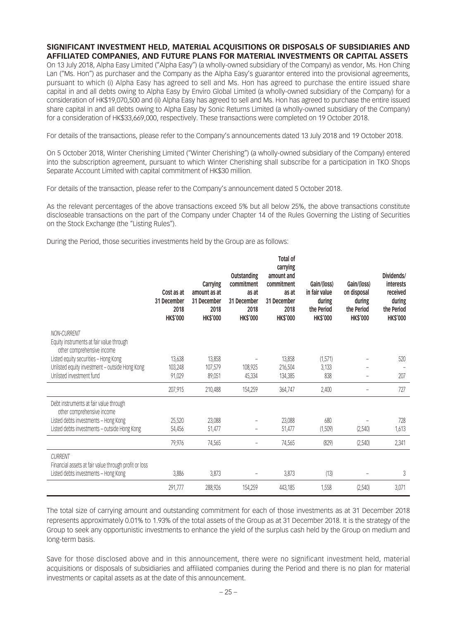#### **SIGNIFICANT INVESTMENT HELD, MATERIAL ACQUISITIONS OR DISPOSALS OF SUBSIDIARIES AND AFFILIATED COMPANIES, AND FUTURE PLANS FOR MATERIAL INVESTMENTS OR CAPITAL ASSETS**

On 13 July 2018, Alpha Easy Limited ("Alpha Easy") (a wholly-owned subsidiary of the Company) as vendor, Ms. Hon Ching Lan ("Ms. Hon") as purchaser and the Company as the Alpha Easy's guarantor entered into the provisional agreements, pursuant to which (i) Alpha Easy has agreed to sell and Ms. Hon has agreed to purchase the entire issued share capital in and all debts owing to Alpha Easy by Enviro Global Limited (a wholly-owned subsidiary of the Company) for a consideration of HK\$19,070,500 and (ii) Alpha Easy has agreed to sell and Ms. Hon has agreed to purchase the entire issued share capital in and all debts owing to Alpha Easy by Sonic Returns Limited (a wholly-owned subsidiary of the Company) for a consideration of HK\$33,669,000, respectively. These transactions were completed on 19 October 2018.

For details of the transactions, please refer to the Company's announcements dated 13 July 2018 and 19 October 2018.

On 5 October 2018, Winter Cherishing Limited ("Winter Cherishing") (a wholly-owned subsidiary of the Company) entered into the subscription agreement, pursuant to which Winter Cherishing shall subscribe for a participation in TKO Shops Separate Account Limited with capital commitment of HK\$30 million.

For details of the transaction, please refer to the Company's announcement dated 5 October 2018.

As the relevant percentages of the above transactions exceed 5% but all below 25%, the above transactions constitute discloseable transactions on the part of the Company under Chapter 14 of the Rules Governing the Listing of Securities on the Stock Exchange (the "Listing Rules").

During the Period, those securities investments held by the Group are as follows:

|                                                                                       | Cost as at<br>31 December<br>2018<br><b>HK\$'000</b> | Carrying<br>amount as at<br>31 December<br>2018<br><b>HK\$'000</b> | <b>Outstanding</b><br>commitment<br>as at<br>31 December<br>2018<br><b>HK\$'000</b> | <b>Total of</b><br>carrying<br>amount and<br>commitment<br>as at<br>31 December<br>2018<br><b>HK\$'000</b> | Gain/(loss)<br>in fair value<br>during<br>the Period<br><b>HK\$'000</b> | Gain/(loss)<br>on disposal<br>during<br>the Period<br><b>HK\$'000</b> | Dividends/<br>interests<br>received<br>during<br>the Period<br><b>HK\$'000</b> |
|---------------------------------------------------------------------------------------|------------------------------------------------------|--------------------------------------------------------------------|-------------------------------------------------------------------------------------|------------------------------------------------------------------------------------------------------------|-------------------------------------------------------------------------|-----------------------------------------------------------------------|--------------------------------------------------------------------------------|
| NON-CURRENT<br>Equity instruments at fair value through<br>other comprehensive income |                                                      |                                                                    |                                                                                     |                                                                                                            |                                                                         |                                                                       |                                                                                |
| Listed equity securities - Hong Kong                                                  | 13,638                                               | 13,858                                                             |                                                                                     | 13,858                                                                                                     | (1,571)                                                                 |                                                                       | 520                                                                            |
| Unlisted equity investment - outside Hong Kong                                        | 103,248                                              | 107,579                                                            | 108,925                                                                             | 216,504                                                                                                    | 3,133                                                                   |                                                                       |                                                                                |
| Unlisted investment fund                                                              | 91,029                                               | 89,051                                                             | 45,334                                                                              | 134,385                                                                                                    | 838                                                                     |                                                                       | 207                                                                            |
|                                                                                       | 207,915                                              | 210,488                                                            | 154,259                                                                             | 364,747                                                                                                    | 2,400                                                                   | $\overline{\phantom{0}}$                                              | 727                                                                            |
| Debt instruments at fair value through<br>other comprehensive income                  |                                                      |                                                                    |                                                                                     |                                                                                                            |                                                                         |                                                                       |                                                                                |
| Listed debts investments - Hong Kong                                                  | 25,520                                               | 23,088                                                             |                                                                                     | 23,088                                                                                                     | 680                                                                     |                                                                       | 728                                                                            |
| Listed debts investments - outside Hong Kong                                          | 54,456                                               | 51,477                                                             |                                                                                     | 51,477                                                                                                     | (1,509)                                                                 | (2,540)                                                               | 1,613                                                                          |
|                                                                                       | 79,976                                               | 74,565                                                             | $\overline{\phantom{0}}$                                                            | 74,565                                                                                                     | (829)                                                                   | (2,540)                                                               | 2,341                                                                          |
| <b>CURRENT</b><br>Financial assets at fair value through profit or loss               |                                                      |                                                                    |                                                                                     |                                                                                                            |                                                                         |                                                                       |                                                                                |
| Listed debts investments - Hong Kong                                                  | 3,886                                                | 3,873                                                              |                                                                                     | 3,873                                                                                                      | (13)                                                                    |                                                                       | 3                                                                              |
|                                                                                       | 291,777                                              | 288,926                                                            | 154,259                                                                             | 443,185                                                                                                    | 1,558                                                                   | (2,540)                                                               | 3,071                                                                          |

The total size of carrying amount and outstanding commitment for each of those investments as at 31 December 2018 represents approximately 0.01% to 1.93% of the total assets of the Group as at 31 December 2018. It is the strategy of the Group to seek any opportunistic investments to enhance the yield of the surplus cash held by the Group on medium and long-term basis.

Save for those disclosed above and in this announcement, there were no significant investment held, material acquisitions or disposals of subsidiaries and affiliated companies during the Period and there is no plan for material investments or capital assets as at the date of this announcement.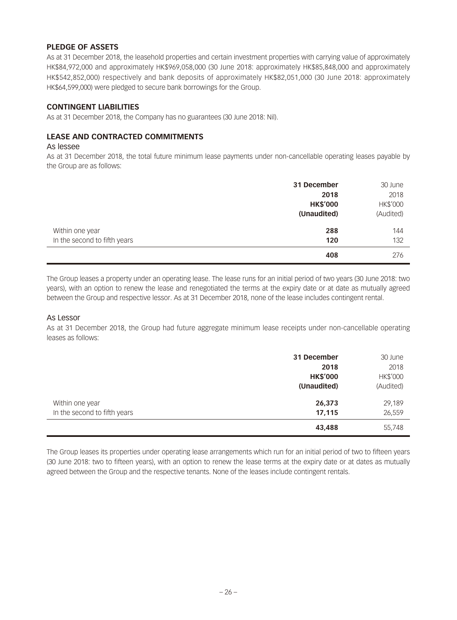### **PLEDGE OF ASSETS**

As at 31 December 2018, the leasehold properties and certain investment properties with carrying value of approximately HK\$84,972,000 and approximately HK\$969,058,000 (30 June 2018: approximately HK\$85,848,000 and approximately HK\$542,852,000) respectively and bank deposits of approximately HK\$82,051,000 (30 June 2018: approximately HK\$64,599,000) were pledged to secure bank borrowings for the Group.

### **CONTINGENT LIABILITIES**

As at 31 December 2018, the Company has no guarantees (30 June 2018: Nil).

### **LEASE AND CONTRACTED COMMITMENTS**

#### As lessee

As at 31 December 2018, the total future minimum lease payments under non-cancellable operating leases payable by the Group are as follows:

|                              | 31 December     | 30 June   |
|------------------------------|-----------------|-----------|
|                              | 2018            | 2018      |
|                              | <b>HK\$'000</b> | HK\$'000  |
|                              | (Unaudited)     | (Audited) |
| Within one year              | 288             | 144       |
| In the second to fifth years | 120             | 132       |
|                              | 408             | 276       |

The Group leases a property under an operating lease. The lease runs for an initial period of two years (30 June 2018: two years), with an option to renew the lease and renegotiated the terms at the expiry date or at date as mutually agreed between the Group and respective lessor. As at 31 December 2018, none of the lease includes contingent rental.

#### As Lessor

As at 31 December 2018, the Group had future aggregate minimum lease receipts under non-cancellable operating leases as follows:

|                                                 | 31 December<br>2018<br><b>HK\$'000</b><br>(Unaudited) | 30 June<br>2018<br>HK\$'000<br>(Audited) |
|-------------------------------------------------|-------------------------------------------------------|------------------------------------------|
| Within one year<br>In the second to fifth years | 26,373<br>17,115                                      | 29,189<br>26,559                         |
|                                                 | 43,488                                                | 55,748                                   |

The Group leases its properties under operating lease arrangements which run for an initial period of two to fifteen years (30 June 2018: two to fifteen years), with an option to renew the lease terms at the expiry date or at dates as mutually agreed between the Group and the respective tenants. None of the leases include contingent rentals.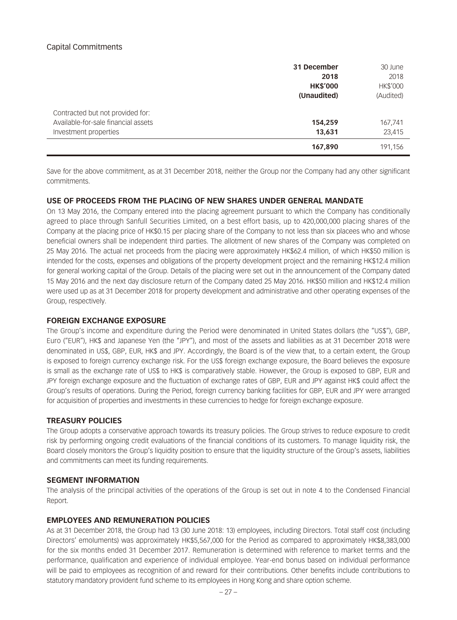### Capital Commitments

|                                     | 31 December     | 30 June   |
|-------------------------------------|-----------------|-----------|
|                                     | 2018            | 2018      |
|                                     | <b>HK\$'000</b> | HK\$'000  |
|                                     | (Unaudited)     | (Audited) |
| Contracted but not provided for:    |                 |           |
| Available-for-sale financial assets | 154,259         | 167,741   |
| Investment properties               | 13,631          | 23,415    |
|                                     | 167,890         | 191,156   |

Save for the above commitment, as at 31 December 2018, neither the Group nor the Company had any other significant commitments.

#### **USE OF PROCEEDS FROM THE PLACING OF NEW SHARES UNDER GENERAL MANDATE**

On 13 May 2016, the Company entered into the placing agreement pursuant to which the Company has conditionally agreed to place through Sanfull Securities Limited, on a best effort basis, up to 420,000,000 placing shares of the Company at the placing price of HK\$0.15 per placing share of the Company to not less than six placees who and whose beneficial owners shall be independent third parties. The allotment of new shares of the Company was completed on 25 May 2016. The actual net proceeds from the placing were approximately HK\$62.4 million, of which HK\$50 million is intended for the costs, expenses and obligations of the property development project and the remaining HK\$12.4 million for general working capital of the Group. Details of the placing were set out in the announcement of the Company dated 15 May 2016 and the next day disclosure return of the Company dated 25 May 2016. HK\$50 million and HK\$12.4 million were used up as at 31 December 2018 for property development and administrative and other operating expenses of the Group, respectively.

#### **FOREIGN EXCHANGE EXPOSURE**

The Group's income and expenditure during the Period were denominated in United States dollars (the "US\$"), GBP, Euro ("EUR"), HK\$ and Japanese Yen (the "JPY"), and most of the assets and liabilities as at 31 December 2018 were denominated in US\$, GBP, EUR, HK\$ and JPY. Accordingly, the Board is of the view that, to a certain extent, the Group is exposed to foreign currency exchange risk. For the US\$ foreign exchange exposure, the Board believes the exposure is small as the exchange rate of US\$ to HK\$ is comparatively stable. However, the Group is exposed to GBP, EUR and JPY foreign exchange exposure and the fluctuation of exchange rates of GBP, EUR and JPY against HK\$ could affect the Group's results of operations. During the Period, foreign currency banking facilities for GBP, EUR and JPY were arranged for acquisition of properties and investments in these currencies to hedge for foreign exchange exposure.

#### **TREASURY POLICIES**

The Group adopts a conservative approach towards its treasury policies. The Group strives to reduce exposure to credit risk by performing ongoing credit evaluations of the financial conditions of its customers. To manage liquidity risk, the Board closely monitors the Group's liquidity position to ensure that the liquidity structure of the Group's assets, liabilities and commitments can meet its funding requirements.

#### **SEGMENT INFORMATION**

The analysis of the principal activities of the operations of the Group is set out in note 4 to the Condensed Financial Report.

#### **EMPLOYEES AND REMUNERATION POLICIES**

As at 31 December 2018, the Group had 13 (30 June 2018: 13) employees, including Directors. Total staff cost (including Directors' emoluments) was approximately HK\$5,567,000 for the Period as compared to approximately HK\$8,383,000 for the six months ended 31 December 2017. Remuneration is determined with reference to market terms and the performance, qualification and experience of individual employee. Year-end bonus based on individual performance will be paid to employees as recognition of and reward for their contributions. Other benefits include contributions to statutory mandatory provident fund scheme to its employees in Hong Kong and share option scheme.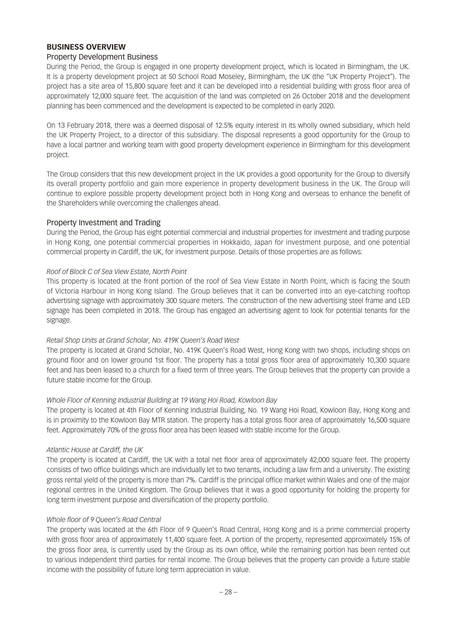### **BUSINESS OVERVIEW**

#### Property Development Business

During the Period, the Group is engaged in one property development project, which is located in Birmingham, the UK. It is a property development project at 50 School Road Moseley, Birmingham, the UK (the "UK Property Project"). The project has a site area of 15,800 square feet and it can be developed into a residential building with gross floor area of approximately 12,000 square feet. The acquisition of the land was completed on 26 October 2018 and the development planning has been commenced and the development is expected to be completed in early 2020.

On 13 February 2018, there was a deemed disposal of 12.5% equity interest in its wholly owned subsidiary, which held the UK Property Project, to a director of this subsidiary. The disposal represents a good opportunity for the Group to have a local partner and working team with good property development experience in Birmingham for this development project.

The Group considers that this new development project in the UK provides a good opportunity for the Group to diversify its overall property portfolio and gain more experience in property development business in the UK. The Group will continue to explore possible property development project both in Hong Kong and overseas to enhance the benefit of the Shareholders while overcoming the challenges ahead.

#### Property Investment and Trading

During the Period, the Group has eight potential commercial and industrial properties for investment and trading purpose in Hong Kong, one potential commercial properties in Hokkaido, Japan for investment purpose, and one potential commercial property in Cardiff, the UK, for investment purpose. Details of those properties are as follows:

#### *Roof of Block C of Sea View Estate, North Point*

This property is located at the front portion of the roof of Sea View Estate in North Point, which is facing the South of Victoria Harbour in Hong Kong Island. The Group believes that it can be converted into an eye-catching rooftop advertising signage with approximately 300 square meters. The construction of the new advertising steel frame and LED signage has been completed in 2018. The Group has engaged an advertising agent to look for potential tenants for the signage.

#### *Retail Shop Units at Grand Scholar, No. 419K Queen's Road West*

The property is located at Grand Scholar, No. 419K Queen's Road West, Hong Kong with two shops, including shops on ground floor and on lower ground 1st floor. The property has a total gross floor area of approximately 10,300 square feet and has been leased to a church for a fixed term of three years. The Group believes that the property can provide a future stable income for the Group.

#### *Whole Floor of Kenning Industrial Building at 19 Wang Hoi Road, Kowloon Bay*

The property is located at 4th Floor of Kenning Industrial Building, No. 19 Wang Hoi Road, Kowloon Bay, Hong Kong and is in proximity to the Kowloon Bay MTR station. The property has a total gross floor area of approximately 16,500 square feet. Approximately 70% of the gross floor area has been leased with stable income for the Group.

#### *Atlantic House at Cardiff, the UK*

The property is located at Cardiff, the UK with a total net floor area of approximately 42,000 square feet. The property consists of two office buildings which are individually let to two tenants, including a law firm and a university. The existing gross rental yield of the property is more than 7%. Cardiff is the principal office market within Wales and one of the major regional centres in the United Kingdom. The Group believes that it was a good opportunity for holding the property for long term investment purpose and diversification of the property portfolio.

#### *Whole floor of 9 Queen's Road Central*

The property was located at the 6th Floor of 9 Queen's Road Central, Hong Kong and is a prime commercial property with gross floor area of approximately 11,400 square feet. A portion of the property, represented approximately 15% of the gross floor area, is currently used by the Group as its own office, while the remaining portion has been rented out to various independent third parties for rental income. The Group believes that the property can provide a future stable income with the possibility of future long term appreciation in value.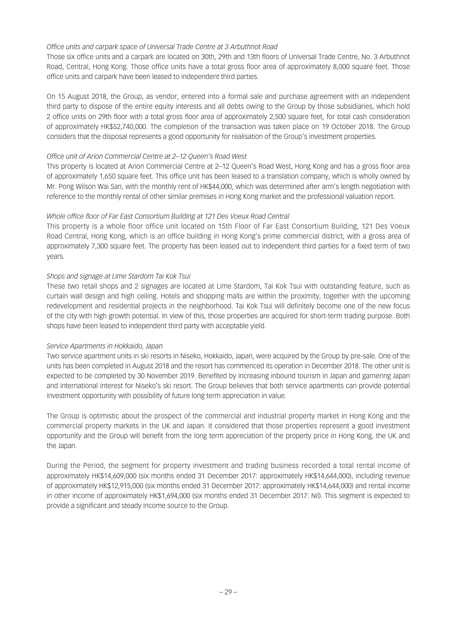### *Office units and carpark space of Universal Trade Centre at 3 Arbuthnot Road*

Those six office units and a carpark are located on 30th, 29th and 13th floors of Universal Trade Centre, No. 3 Arbuthnot Road, Central, Hong Kong. Those office units have a total gross floor area of approximately 8,000 square feet. Those office units and carpark have been leased to independent third parties.

On 15 August 2018, the Group, as vendor, entered into a formal sale and purchase agreement with an independent third party to dispose of the entire equity interests and all debts owing to the Group by those subsidiaries, which hold 2 office units on 29th floor with a total gross floor area of approximately 2,500 square feet, for total cash consideration of approximately HK\$52,740,000. The completion of the transaction was taken place on 19 October 2018. The Group considers that the disposal represents a good opportunity for realisation of the Group's investment properties.

### *Office unit of Arion Commercial Centre at 2–12 Queen's Road West*

This property is located at Arion Commercial Centre at 2–12 Queen's Road West, Hong Kong and has a gross floor area of approximately 1,650 square feet. This office unit has been leased to a translation company, which is wholly owned by Mr. Pong Wilson Wai San, with the monthly rent of HK\$44,000, which was determined after arm's length negotiation with reference to the monthly rental of other similar premises in Hong Kong market and the professional valuation report.

### *Whole office floor of Far East Consortium Building at 121 Des Voeux Road Central*

This property is a whole floor office unit located on 15th Floor of Far East Consortium Building, 121 Des Voeux Road Central, Hong Kong, which is an office building in Hong Kong's prime commercial district, with a gross area of approximately 7,300 square feet. The property has been leased out to independent third parties for a fixed term of two years.

### *Shops and signage at Lime Stardom Tai Kok Tsui*

These two retail shops and 2 signages are located at Lime Stardom, Tai Kok Tsui with outstanding feature, such as curtain wall design and high ceiling. Hotels and shopping malls are within the proximity, together with the upcoming redevelopment and residential projects in the neighborhood. Tai Kok Tsui will definitely become one of the new focus of the city with high growth potential. In view of this, those properties are acquired for short-term trading purpose. Both shops have been leased to independent third party with acceptable yield.

#### *Service Apartments in Hokkaido, Japan*

Two service apartment units in ski resorts in Niseko, Hokkaido, Japan, were acquired by the Group by pre-sale. One of the units has been completed in August 2018 and the resort has commenced its operation in December 2018. The other unit is expected to be completed by 30 November 2019. Benefited by increasing inbound tourism in Japan and garnering Japan and international interest for Niseko's ski resort. The Group believes that both service apartments can provide potential investment opportunity with possibility of future long term appreciation in value.

The Group is optimistic about the prospect of the commercial and industrial property market in Hong Kong and the commercial property markets in the UK and Japan. It considered that those properties represent a good investment opportunity and the Group will benefit from the long term appreciation of the property price in Hong Kong, the UK and the Japan.

During the Period, the segment for property investment and trading business recorded a total rental income of approximately HK\$14,609,000 (six months ended 31 December 2017: approximately HK\$14,644,000), including revenue of approximately HK\$12,915,000 (six months ended 31 December 2017: approximately HK\$14,644,000) and rental income in other income of approximately HK\$1,694,000 (six months ended 31 December 2017: Nil). This segment is expected to provide a significant and steady income source to the Group.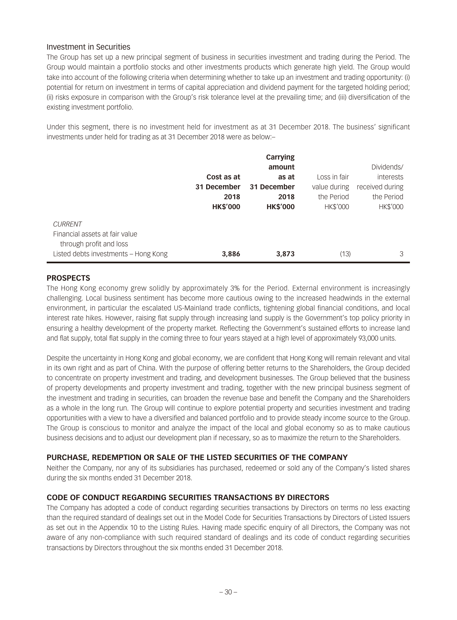### Investment in Securities

The Group has set up a new principal segment of business in securities investment and trading during the Period. The Group would maintain a portfolio stocks and other investments products which generate high yield. The Group would take into account of the following criteria when determining whether to take up an investment and trading opportunity: (i) potential for return on investment in terms of capital appreciation and dividend payment for the targeted holding period; (ii) risks exposure in comparison with the Group's risk tolerance level at the prevailing time; and (iii) diversification of the existing investment portfolio.

Under this segment, there is no investment held for investment as at 31 December 2018. The business' significant investments under held for trading as at 31 December 2018 were as below:–

|                                                                 |                 | <b>Carrying</b> |                 |                 |
|-----------------------------------------------------------------|-----------------|-----------------|-----------------|-----------------|
|                                                                 |                 | amount          |                 | Dividends/      |
|                                                                 | Cost as at      | as at           | Loss in fair    | interests       |
|                                                                 | 31 December     | 31 December     | value during    | received during |
|                                                                 | 2018            | 2018            | the Period      | the Period      |
|                                                                 | <b>HK\$'000</b> | <b>HK\$'000</b> | <b>HK\$'000</b> | HK\$'000        |
| <b>CURRENT</b><br>Financial assets at fair value                |                 |                 |                 |                 |
| through profit and loss<br>Listed debts investments - Hong Kong | 3,886           | 3,873           | (13)            | 3               |

### **PROSPECTS**

The Hong Kong economy grew solidly by approximately 3% for the Period. External environment is increasingly challenging. Local business sentiment has become more cautious owing to the increased headwinds in the external environment, in particular the escalated US-Mainland trade conflicts, tightening global financial conditions, and local interest rate hikes. However, raising flat supply through increasing land supply is the Government's top policy priority in ensuring a healthy development of the property market. Reflecting the Government's sustained efforts to increase land and flat supply, total flat supply in the coming three to four years stayed at a high level of approximately 93,000 units.

Despite the uncertainty in Hong Kong and global economy, we are confident that Hong Kong will remain relevant and vital in its own right and as part of China. With the purpose of offering better returns to the Shareholders, the Group decided to concentrate on property investment and trading, and development businesses. The Group believed that the business of property developments and property investment and trading, together with the new principal business segment of the investment and trading in securities, can broaden the revenue base and benefit the Company and the Shareholders as a whole in the long run. The Group will continue to explore potential property and securities investment and trading opportunities with a view to have a diversified and balanced portfolio and to provide steady income source to the Group. The Group is conscious to monitor and analyze the impact of the local and global economy so as to make cautious business decisions and to adjust our development plan if necessary, so as to maximize the return to the Shareholders.

### **PURCHASE, REDEMPTION OR SALE OF THE LISTED SECURITIES OF THE COMPANY**

Neither the Company, nor any of its subsidiaries has purchased, redeemed or sold any of the Company's listed shares during the six months ended 31 December 2018.

#### **CODE OF CONDUCT REGARDING SECURITIES TRANSACTIONS BY DIRECTORS**

The Company has adopted a code of conduct regarding securities transactions by Directors on terms no less exacting than the required standard of dealings set out in the Model Code for Securities Transactions by Directors of Listed Issuers as set out in the Appendix 10 to the Listing Rules. Having made specific enquiry of all Directors, the Company was not aware of any non-compliance with such required standard of dealings and its code of conduct regarding securities transactions by Directors throughout the six months ended 31 December 2018.